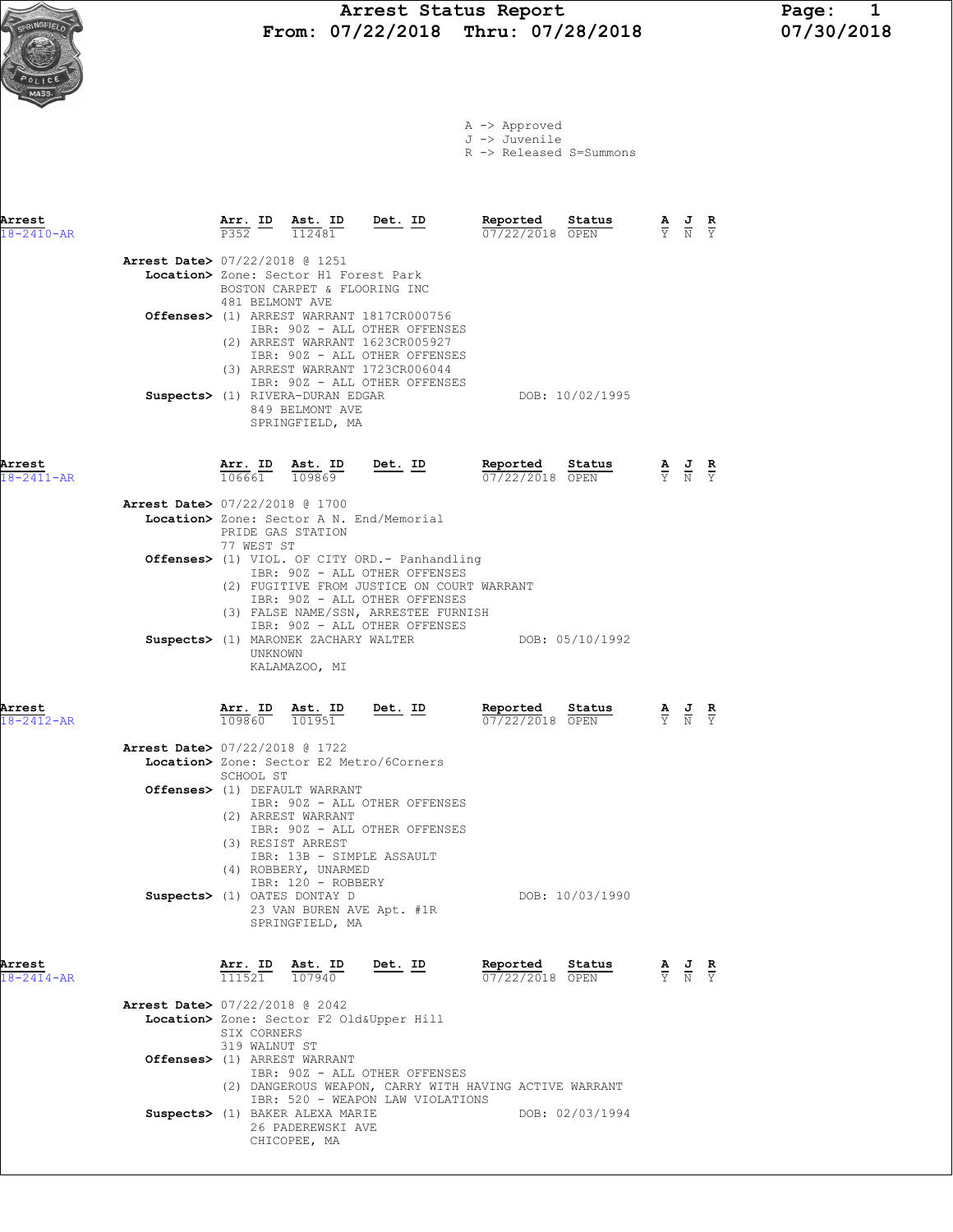# Arrest Status Report Page: 1<br>07/22/2018 Thru: 07/28/2018 07/30/2018 From: 07/22/2018 Thru: 07/28/2018

|  | A -> Approved |  |
|--|---------------|--|
|  | J -> Juvenile |  |

R -> Released S=Summons

| Arrest<br>$18 - 2410 - AR$ |                                          | Arr. ID<br>P352                                                | Ast. ID<br>112481                                                                                                             | Det. ID                                                                                                                                                                 | Reported<br>07/22/2018 OPEN | Status          | $\frac{\mathbf{A}}{\mathbf{Y}}$ $\frac{\mathbf{J}}{\mathbf{N}}$ $\frac{\mathbf{R}}{\mathbf{Y}}$ |  |
|----------------------------|------------------------------------------|----------------------------------------------------------------|-------------------------------------------------------------------------------------------------------------------------------|-------------------------------------------------------------------------------------------------------------------------------------------------------------------------|-----------------------------|-----------------|-------------------------------------------------------------------------------------------------|--|
|                            | <b>Arrest Date&gt;</b> 07/22/2018 @ 1251 | 481 BELMONT AVE                                                | Location> Zone: Sector H1 Forest Park<br>BOSTON CARPET & FLOORING INC                                                         | Offenses> (1) ARREST WARRANT 1817CR000756<br>IBR: 90Z - ALL OTHER OFFENSES                                                                                              |                             |                 |                                                                                                 |  |
|                            |                                          |                                                                | Suspects> (1) RIVERA-DURAN EDGAR<br>849 BELMONT AVE<br>SPRINGFIELD, MA                                                        | (2) ARREST WARRANT 1623CR005927<br>IBR: 90Z - ALL OTHER OFFENSES<br>(3) ARREST WARRANT 1723CR006044<br>IBR: 90Z - ALL OTHER OFFENSES                                    |                             | DOB: 10/02/1995 |                                                                                                 |  |
| Arrest<br>$18 - 2411 - AR$ |                                          | <u>Arr. ID</u><br>106661                                       | Ast. ID<br>109869                                                                                                             | <u>Det. ID</u>                                                                                                                                                          | Reported<br>07/22/2018 OPEN | Status          | $\frac{\mathbf{A}}{\mathbf{Y}}$ $\frac{\mathbf{J}}{\mathbf{N}}$ $\frac{\mathbf{R}}{\mathbf{Y}}$ |  |
|                            | <b>Arrest Date&gt; 07/22/2018 @ 1700</b> | PRIDE GAS STATION                                              |                                                                                                                               | Location> Zone: Sector A N. End/Memorial                                                                                                                                |                             |                 |                                                                                                 |  |
|                            |                                          | 77 WEST ST                                                     |                                                                                                                               | <b>Offenses&gt;</b> (1) VIOL. OF CITY ORD.- Panhandling<br>IBR: 90Z - ALL OTHER OFFENSES<br>(2) FUGITIVE FROM JUSTICE ON COURT WARRANT<br>IBR: 90Z - ALL OTHER OFFENSES |                             |                 |                                                                                                 |  |
|                            |                                          | UNKNOWN                                                        | KALAMAZOO, MI                                                                                                                 | (3) FALSE NAME/SSN, ARRESTEE FURNISH<br>IBR: 90Z - ALL OTHER OFFENSES<br>Suspects> (1) MARONEK ZACHARY WALTER                                                           |                             | DOB: 05/10/1992 |                                                                                                 |  |
| Arrest<br>18-2412-AR       |                                          | $\frac{\texttt{Arr.}}{109860}$ $\frac{\texttt{ Ast.}}{101951}$ |                                                                                                                               | <u>Det.</u> ID                                                                                                                                                          | Reported<br>07/22/2018 OPEN | Status          | $\frac{\mathbf{A}}{\mathbf{Y}}$ $\frac{\mathbf{J}}{\mathbf{N}}$ $\frac{\mathbf{R}}{\mathbf{Y}}$ |  |
|                            | <b>Arrest Date&gt; 07/22/2018 @ 1722</b> | SCHOOL ST                                                      |                                                                                                                               | Location> Zone: Sector E2 Metro/6Corners                                                                                                                                |                             |                 |                                                                                                 |  |
|                            |                                          |                                                                | Offenses> (1) DEFAULT WARRANT<br>(2) ARREST WARRANT<br>(3) RESIST ARREST<br>IBR: 13B - SIMPLE ASSAULT<br>(4) ROBBERY, UNARMED | IBR: 90Z - ALL OTHER OFFENSES<br>IBR: 90Z - ALL OTHER OFFENSES                                                                                                          |                             |                 |                                                                                                 |  |
|                            |                                          |                                                                | IBR: 120 - ROBBERY<br>Suspects> (1) OATES DONTAY D<br>SPRINGFIELD, MA                                                         | 23 VAN BUREN AVE Apt. #1R                                                                                                                                               |                             | DOB: 10/03/1990 |                                                                                                 |  |
| Arrest<br>$18 - 2414 - AR$ |                                          | Arr. ID<br>111521                                              | Ast. ID<br>107940                                                                                                             | Det. ID                                                                                                                                                                 | Reported<br>07/22/2018 OPEN | Status          | $\frac{\mathbf{A}}{\mathbf{Y}}$ $\frac{\mathbf{J}}{\mathbf{N}}$ $\frac{\mathbf{R}}{\mathbf{Y}}$ |  |
|                            | <b>Arrest Date&gt; 07/22/2018 @ 2042</b> | SIX CORNERS<br>319 WALNUT ST                                   |                                                                                                                               | Location> Zone: Sector F2 Old&Upper Hill                                                                                                                                |                             |                 |                                                                                                 |  |
|                            | Offenses> (1) ARREST WARRANT             |                                                                | Suspects> (1) BAKER ALEXA MARIE<br>26 PADEREWSKI AVE                                                                          | IBR: 90Z - ALL OTHER OFFENSES<br>(2) DANGEROUS WEAPON, CARRY WITH HAVING ACTIVE WARRANT<br>IBR: 520 - WEAPON LAW VIOLATIONS                                             |                             | DOB: 02/03/1994 |                                                                                                 |  |

CHICOPEE, MA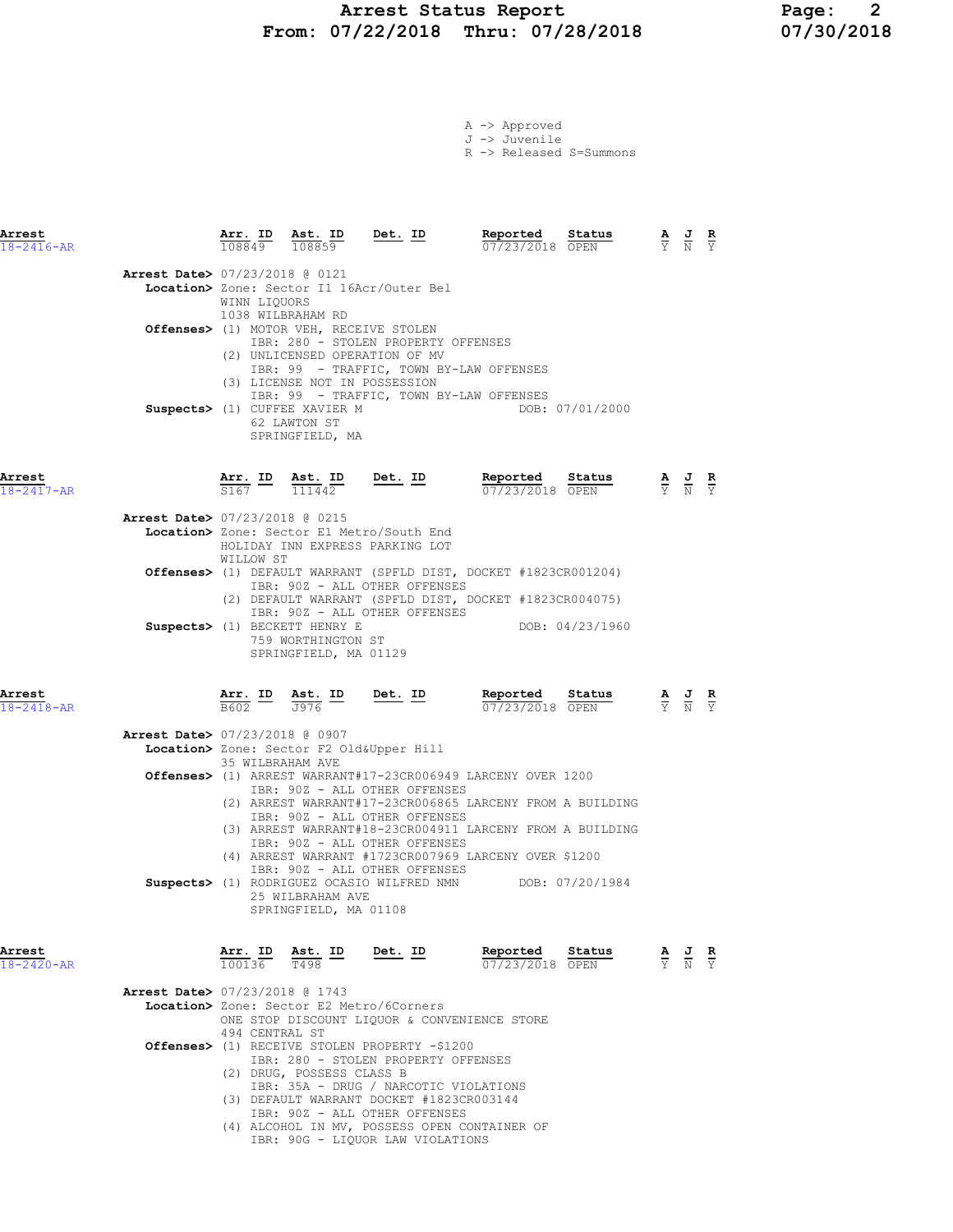## Arrest Status Report Page: 2 From: 07/22/2018 Thru: 07/28/2018 07/30/2018

|  | A -> Approved |                         |
|--|---------------|-------------------------|
|  | J -> Juvenile |                         |
|  |               | R -> Released S=Summons |

| Arrest<br>$18 - 2416 - AR$               |                   |                                                                                       | $\frac{\texttt{Arr.}}{108849}$ $\frac{\texttt{ Ast.}}{108859}$ Det. ID                                                                                                                                                                                                                                                                          | Reported Status<br>07/23/2018 OPEN |                                                                                                        | $\frac{\mathbf{A}}{\mathbf{Y}}$ $\frac{\mathbf{J}}{\mathbf{N}}$ $\frac{\mathbf{R}}{\mathbf{Y}}$ |               |
|------------------------------------------|-------------------|---------------------------------------------------------------------------------------|-------------------------------------------------------------------------------------------------------------------------------------------------------------------------------------------------------------------------------------------------------------------------------------------------------------------------------------------------|------------------------------------|--------------------------------------------------------------------------------------------------------|-------------------------------------------------------------------------------------------------|---------------|
| <b>Arrest Date&gt; 07/23/2018 @ 0121</b> | WINN LIQUORS      | 1038 WILBRAHAM RD<br>Suspects> (1) CUFFEE XAVIER M<br>62 LAWTON ST<br>SPRINGFIELD, MA | Location> Zone: Sector I1 16Acr/Outer Bel<br>Offenses> (1) MOTOR VEH, RECEIVE STOLEN<br>IBR: 280 - STOLEN PROPERTY OFFENSES<br>(2) UNLICENSED OPERATION OF MV<br>IBR: 99 - TRAFFIC, TOWN BY-LAW OFFENSES<br>(3) LICENSE NOT IN POSSESSION<br>IBR: 99 - TRAFFIC, TOWN BY-LAW OFFENSES                                                            | DOB: 07/01/2000                    |                                                                                                        |                                                                                                 |               |
| Arrest<br>18-2417-AR                     |                   | $\frac{\texttt{Arr.}}{\text{S167}}$ ID $\frac{\texttt{Ast.}}{\text{111442}}$          | Det. ID                                                                                                                                                                                                                                                                                                                                         | Reported Status<br>07/23/2018 OPEN |                                                                                                        | $\frac{\mathbf{A}}{\mathbf{Y}}$ $\frac{\mathbf{J}}{\mathbf{N}}$ $\frac{\mathbf{R}}{\mathbf{Y}}$ |               |
| Arrest Date> 07/23/2018 @ 0215           | WILLOW ST         |                                                                                       | Location> Zone: Sector E1 Metro/South End<br>HOLIDAY INN EXPRESS PARKING LOT                                                                                                                                                                                                                                                                    |                                    |                                                                                                        |                                                                                                 |               |
|                                          |                   |                                                                                       | Offenses> (1) DEFAULT WARRANT (SPFLD DIST, DOCKET #1823CR001204)<br>IBR: 90Z - ALL OTHER OFFENSES<br>(2) DEFAULT WARRANT (SPFLD DIST, DOCKET #1823CR004075)                                                                                                                                                                                     |                                    |                                                                                                        |                                                                                                 |               |
|                                          |                   | Suspects> (1) BECKETT HENRY E<br>759 WORTHINGTON ST<br>SPRINGFIELD, MA 01129          | IBR: 90Z - ALL OTHER OFFENSES                                                                                                                                                                                                                                                                                                                   |                                    | DOB: 04/23/1960                                                                                        |                                                                                                 |               |
| Arrest<br>18-2418-AR                     |                   |                                                                                       | <b>Arr. ID</b> Ast. ID Det. ID Reported Status $\frac{1}{\sqrt{376}}$ Det. ID Reported Status                                                                                                                                                                                                                                                   |                                    | <b>Reported Status A J R</b> $\frac{1}{07}/23/2018$ <b>OPEN F</b> $\frac{1}{Y}$ <b>R</b> $\frac{1}{Y}$ |                                                                                                 |               |
| <b>Arrest Date&gt;</b> 07/23/2018 @ 0907 | 35 WILBRAHAM AVE  |                                                                                       | Location> Zone: Sector F2 Old&Upper Hill                                                                                                                                                                                                                                                                                                        |                                    |                                                                                                        |                                                                                                 |               |
|                                          |                   |                                                                                       | Offenses> (1) ARREST WARRANT#17-23CR006949 LARCENY OVER 1200<br>IBR: 90Z - ALL OTHER OFFENSES<br>(2) ARREST WARRANT#17-23CR006865 LARCENY FROM A BUILDING<br>IBR: 90Z - ALL OTHER OFFENSES<br>(3) ARREST WARRANT#18-23CR004911 LARCENY FROM A BUILDING<br>IBR: 90Z - ALL OTHER OFFENSES<br>(4) ARREST WARRANT #1723CR007969 LARCENY OVER \$1200 |                                    |                                                                                                        |                                                                                                 |               |
|                                          |                   | 25 WILBRAHAM AVE<br>SPRINGFIELD, MA 01108                                             | IBR: 90Z - ALL OTHER OFFENSES<br>Suspects> (1) RODRIGUEZ OCASIO WILFRED NMN DOB: 07/20/1984                                                                                                                                                                                                                                                     |                                    |                                                                                                        |                                                                                                 |               |
| Arrest<br>18-2420-AR                     | Arr. ID<br>100136 | T498                                                                                  | <u>Ast.</u> ID Det. ID                                                                                                                                                                                                                                                                                                                          | Reported<br>07/23/2018 OPEN        | Status                                                                                                 | $\frac{\mathbf{A}}{\mathbf{Y}}$ $\frac{\mathbf{J}}{\mathbf{N}}$                                 | $\frac{R}{Y}$ |
| Arrest Date> 07/23/2018 @ 1743           | 494 CENTRAL ST    |                                                                                       | Location> Zone: Sector E2 Metro/6Corners<br>ONE STOP DISCOUNT LIQUOR & CONVENIENCE STORE<br>Offenses> (1) RECEIVE STOLEN PROPERTY -\$1200                                                                                                                                                                                                       |                                    |                                                                                                        |                                                                                                 |               |
|                                          |                   | (2) DRUG, POSSESS CLASS B                                                             | IBR: 280 - STOLEN PROPERTY OFFENSES<br>IBR: 35A - DRUG / NARCOTIC VIOLATIONS<br>(3) DEFAULT WARRANT DOCKET #1823CR003144<br>IBR: 90Z - ALL OTHER OFFENSES<br>(4) ALCOHOL IN MV, POSSESS OPEN CONTAINER OF<br>IBR: 90G - LIQUOR LAW VIOLATIONS                                                                                                   |                                    |                                                                                                        |                                                                                                 |               |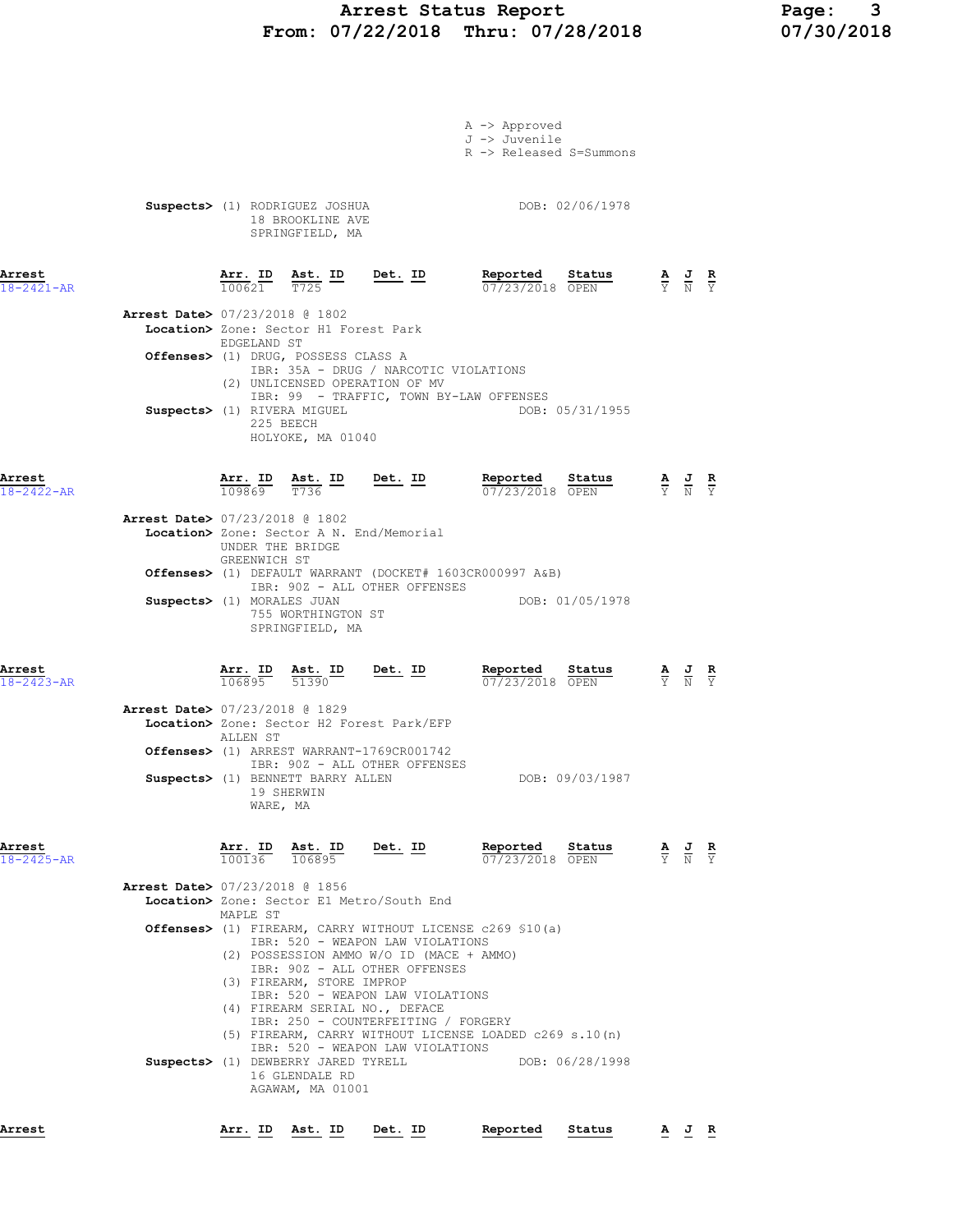## Arrest Status Report 1994 Page: 2018<br>07/22/2018 Thru: 07/28/2018 107/30/2018 From: 07/22/2018 Thru: 07/28/2018

|                            |                                          |                  |                                                                                   |                                                                                                    | A -> Approved<br>J -> Juvenile                                        |                                                                                                 |  |
|----------------------------|------------------------------------------|------------------|-----------------------------------------------------------------------------------|----------------------------------------------------------------------------------------------------|-----------------------------------------------------------------------|-------------------------------------------------------------------------------------------------|--|
|                            |                                          |                  |                                                                                   |                                                                                                    | R -> Released S=Summons                                               |                                                                                                 |  |
|                            |                                          |                  |                                                                                   |                                                                                                    |                                                                       |                                                                                                 |  |
|                            |                                          |                  |                                                                                   |                                                                                                    |                                                                       |                                                                                                 |  |
|                            |                                          |                  |                                                                                   |                                                                                                    |                                                                       |                                                                                                 |  |
|                            |                                          |                  | Suspects> (1) RODRIGUEZ JOSHUA<br>18 BROOKLINE AVE                                |                                                                                                    | DOB: 02/06/1978                                                       |                                                                                                 |  |
|                            |                                          |                  | SPRINGFIELD, MA                                                                   |                                                                                                    |                                                                       |                                                                                                 |  |
|                            |                                          |                  |                                                                                   |                                                                                                    |                                                                       |                                                                                                 |  |
|                            |                                          |                  |                                                                                   |                                                                                                    |                                                                       |                                                                                                 |  |
| Arrest                     |                                          |                  |                                                                                   | $\frac{\texttt{Arr. ID}}{100621}$ $\frac{\texttt{ Ast. ID}}{T725}$ $\frac{\texttt{Det. ID}}{T725}$ | Reported Status                                                       | $\frac{\mathbf{A}}{\mathbf{Y}}$ $\frac{\mathbf{J}}{\mathbf{N}}$ $\frac{\mathbf{R}}{\mathbf{Y}}$ |  |
| $18 - 2421 - AR$           |                                          |                  |                                                                                   |                                                                                                    | 07/23/2018 OPEN                                                       |                                                                                                 |  |
|                            | <b>Arrest Date&gt; 07/23/2018 @ 1802</b> |                  |                                                                                   |                                                                                                    |                                                                       |                                                                                                 |  |
|                            |                                          |                  | Location> Zone: Sector H1 Forest Park                                             |                                                                                                    |                                                                       |                                                                                                 |  |
|                            |                                          | EDGELAND ST      |                                                                                   |                                                                                                    |                                                                       |                                                                                                 |  |
|                            |                                          |                  | Offenses> (1) DRUG, POSSESS CLASS A                                               |                                                                                                    |                                                                       |                                                                                                 |  |
|                            |                                          |                  |                                                                                   | IBR: 35A - DRUG / NARCOTIC VIOLATIONS                                                              |                                                                       |                                                                                                 |  |
|                            |                                          |                  |                                                                                   | (2) UNLICENSED OPERATION OF MV                                                                     |                                                                       |                                                                                                 |  |
|                            |                                          |                  |                                                                                   |                                                                                                    | IBR: 99 - TRAFFIC, TOWN BY-LAW OFFENSES                               |                                                                                                 |  |
|                            | Suspects> (1) RIVERA MIGUEL              |                  | 225 BEECH                                                                         |                                                                                                    | DOB: 05/31/1955                                                       |                                                                                                 |  |
|                            |                                          |                  | HOLYOKE, MA 01040                                                                 |                                                                                                    |                                                                       |                                                                                                 |  |
|                            |                                          |                  |                                                                                   |                                                                                                    |                                                                       |                                                                                                 |  |
|                            |                                          |                  |                                                                                   |                                                                                                    |                                                                       |                                                                                                 |  |
| Arrest                     |                                          |                  |                                                                                   | $\frac{\texttt{Arr. ID}}{109869}$ $\frac{\texttt{ Ast. ID}}{T736}$ Det. ID                         | Reported Status                                                       | $\frac{\mathbf{A}}{\mathbf{Y}}$ $\frac{\mathbf{J}}{\mathbf{N}}$ $\frac{\mathbf{R}}{\mathbf{Y}}$ |  |
| 18-2422-AR                 |                                          |                  |                                                                                   |                                                                                                    | 07/23/2018 OPEN                                                       |                                                                                                 |  |
|                            | <b>Arrest Date&gt; 07/23/2018 @ 1802</b> |                  |                                                                                   |                                                                                                    |                                                                       |                                                                                                 |  |
|                            |                                          |                  |                                                                                   | Location> Zone: Sector A N. End/Memorial                                                           |                                                                       |                                                                                                 |  |
|                            |                                          | UNDER THE BRIDGE |                                                                                   |                                                                                                    |                                                                       |                                                                                                 |  |
|                            |                                          | GREENWICH ST     |                                                                                   |                                                                                                    |                                                                       |                                                                                                 |  |
|                            |                                          |                  |                                                                                   |                                                                                                    | <b>Offenses&gt;</b> (1) DEFAULT WARRANT (DOCKET# 1603CR000997 A&B)    |                                                                                                 |  |
|                            |                                          |                  |                                                                                   | IBR: 90Z - ALL OTHER OFFENSES                                                                      | DOB: 01/05/1978                                                       |                                                                                                 |  |
|                            | Suspects> (1) MORALES JUAN               |                  | 755 WORTHINGTON ST                                                                |                                                                                                    |                                                                       |                                                                                                 |  |
|                            |                                          |                  | SPRINGFIELD, MA                                                                   |                                                                                                    |                                                                       |                                                                                                 |  |
|                            |                                          |                  |                                                                                   |                                                                                                    |                                                                       |                                                                                                 |  |
|                            |                                          |                  |                                                                                   |                                                                                                    |                                                                       |                                                                                                 |  |
| Arrest<br>$18 - 2423 - AR$ |                                          |                  |                                                                                   | $\frac{\texttt{Arr. ID}}{106895}$ $\frac{\texttt{ Ast. ID}}{51390}$ Det. ID                        | Reported Status<br>07/23/2018 OPEN                                    | $\frac{\mathbf{A}}{\mathbf{Y}}$ $\frac{\mathbf{J}}{\mathbf{N}}$ $\frac{\mathbf{R}}{\mathbf{Y}}$ |  |
|                            |                                          |                  |                                                                                   |                                                                                                    |                                                                       |                                                                                                 |  |
|                            | Arrest Date> 07/23/2018 @ 1829           |                  |                                                                                   |                                                                                                    |                                                                       |                                                                                                 |  |
|                            |                                          |                  |                                                                                   | Location> Zone: Sector H2 Forest Park/EFP                                                          |                                                                       |                                                                                                 |  |
|                            |                                          | ALLEN ST         |                                                                                   |                                                                                                    |                                                                       |                                                                                                 |  |
|                            |                                          |                  |                                                                                   | Offenses> (1) ARREST WARRANT-1769CR001742                                                          |                                                                       |                                                                                                 |  |
|                            |                                          |                  |                                                                                   | IBR: 90Z - ALL OTHER OFFENSES                                                                      |                                                                       |                                                                                                 |  |
|                            |                                          |                  | Suspects> (1) BENNETT BARRY ALLEN<br>19 SHERWIN                                   |                                                                                                    | DOB: 09/03/1987                                                       |                                                                                                 |  |
|                            |                                          | WARE, MA         |                                                                                   |                                                                                                    |                                                                       |                                                                                                 |  |
|                            |                                          |                  |                                                                                   |                                                                                                    |                                                                       |                                                                                                 |  |
|                            |                                          |                  |                                                                                   |                                                                                                    |                                                                       |                                                                                                 |  |
| Arrest                     |                                          |                  | Ast. ID Det. ID<br>$\frac{\texttt{Arr.}}{100136}$ $\frac{\texttt{ Ast.}}{106895}$ |                                                                                                    | Reported<br>Status                                                    | $\frac{\mathbf{A}}{\mathbf{Y}}$ $\frac{\mathbf{J}}{\mathbf{N}}$ $\frac{\mathbf{R}}{\mathbf{Y}}$ |  |
| 18-2425-AR                 |                                          |                  |                                                                                   |                                                                                                    | 07/23/2018 OPEN                                                       |                                                                                                 |  |
|                            | <b>Arrest Date&gt; 07/23/2018 @ 1856</b> |                  |                                                                                   |                                                                                                    |                                                                       |                                                                                                 |  |
|                            |                                          |                  |                                                                                   | Location> Zone: Sector E1 Metro/South End                                                          |                                                                       |                                                                                                 |  |
|                            |                                          | MAPLE ST         |                                                                                   |                                                                                                    |                                                                       |                                                                                                 |  |
|                            |                                          |                  |                                                                                   |                                                                                                    | <b>Offenses&gt;</b> (1) FIREARM, CARRY WITHOUT LICENSE $c269$ \$10(a) |                                                                                                 |  |
|                            |                                          |                  |                                                                                   | IBR: 520 - WEAPON LAW VIOLATIONS                                                                   |                                                                       |                                                                                                 |  |
|                            |                                          |                  |                                                                                   | (2) POSSESSION AMMO W/O ID (MACE + AMMO)                                                           |                                                                       |                                                                                                 |  |
|                            |                                          |                  | (3) FIREARM, STORE IMPROP                                                         | IBR: 90Z - ALL OTHER OFFENSES                                                                      |                                                                       |                                                                                                 |  |
|                            |                                          |                  |                                                                                   | IBR: 520 - WEAPON LAW VIOLATIONS                                                                   |                                                                       |                                                                                                 |  |
|                            |                                          |                  |                                                                                   | (4) FIREARM SERIAL NO., DEFACE                                                                     |                                                                       |                                                                                                 |  |
|                            |                                          |                  |                                                                                   | IBR: 250 - COUNTERFEITING / FORGERY                                                                |                                                                       |                                                                                                 |  |
|                            |                                          |                  |                                                                                   |                                                                                                    | (5) FIREARM, CARRY WITHOUT LICENSE LOADED c269 s.10(n)                |                                                                                                 |  |
|                            |                                          |                  | Suspects> (1) DEWBERRY JARED TYRELL                                               | IBR: 520 - WEAPON LAW VIOLATIONS                                                                   | DOB: 06/28/1998                                                       |                                                                                                 |  |
|                            |                                          |                  |                                                                                   |                                                                                                    |                                                                       |                                                                                                 |  |

 16 GLENDALE RD AGAWAM, MA 01001

Arrest Arr. ID Ast. ID Det. ID Reported Status A J R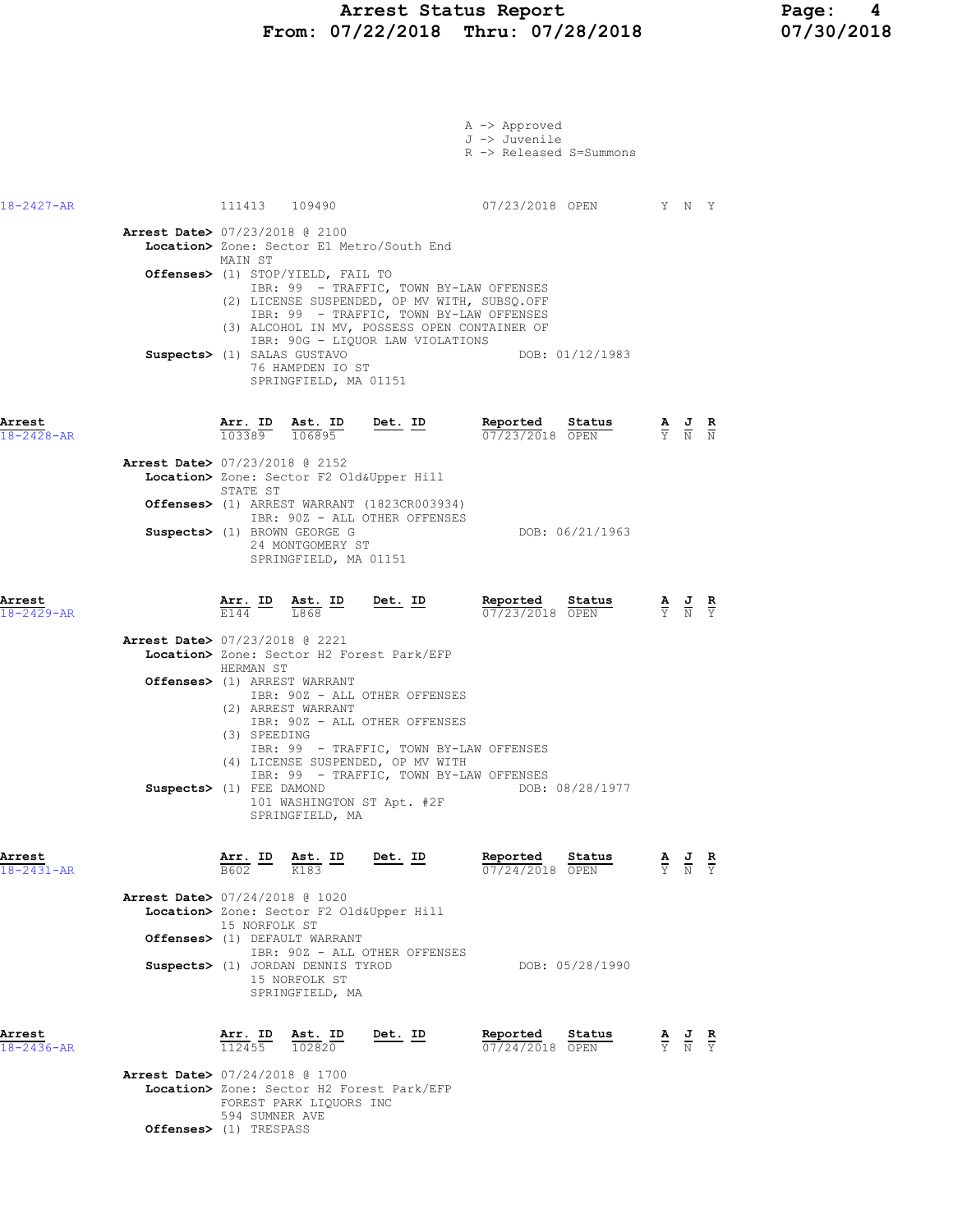#### Arrest Status Report Page: 4 From: 07/22/2018 Thru: 07/28/2018 07/30/2018

|                            |                                                                                                                                                                                                                                                                                                                                         | A -> Approved<br>J -> Juvenile<br>R -> Released S=Summons |                                                                                                 |                                                                                                 |  |
|----------------------------|-----------------------------------------------------------------------------------------------------------------------------------------------------------------------------------------------------------------------------------------------------------------------------------------------------------------------------------------|-----------------------------------------------------------|-------------------------------------------------------------------------------------------------|-------------------------------------------------------------------------------------------------|--|
| 18-2427-AR                 | 111413 109490                                                                                                                                                                                                                                                                                                                           | 07/23/2018 OPEN Y N Y                                     |                                                                                                 |                                                                                                 |  |
|                            | Arrest Date> 07/23/2018 @ 2100<br>Location> Zone: Sector E1 Metro/South End<br>MAIN ST                                                                                                                                                                                                                                                  |                                                           |                                                                                                 |                                                                                                 |  |
|                            | Offenses> (1) STOP/YIELD, FAIL TO<br>IBR: 99 - TRAFFIC, TOWN BY-LAW OFFENSES<br>(2) LICENSE SUSPENDED, OP MV WITH, SUBSQ.OFF<br>IBR: 99 - TRAFFIC, TOWN BY-LAW OFFENSES<br>(3) ALCOHOL IN MV, POSSESS OPEN CONTAINER OF<br>IBR: 90G - LIQUOR LAW VIOLATIONS<br>Suspects> (1) SALAS GUSTAVO<br>76 HAMPDEN IO ST<br>SPRINGFIELD, MA 01151 | DOB: 01/12/1983                                           |                                                                                                 |                                                                                                 |  |
| Arrest<br>$18 - 2428 - AR$ | $\frac{\texttt{Arr.}}{103389}$ $\frac{\texttt{ Ast.}}{106895}$<br><u>Det. ID</u>                                                                                                                                                                                                                                                        | Reported<br><u>Status</u><br>07/23/2018 OPEN              | $\frac{\mathbf{A}}{\mathbf{Y}}$ $\frac{\mathbf{J}}{\mathbf{N}}$ $\frac{\mathbf{R}}{\mathbf{N}}$ |                                                                                                 |  |
|                            | Arrest Date> 07/23/2018 @ 2152<br>Location> Zone: Sector F2 Old&Upper Hill<br>STATE ST                                                                                                                                                                                                                                                  |                                                           |                                                                                                 |                                                                                                 |  |
|                            | Offenses> (1) ARREST WARRANT (1823CR003934)<br>IBR: 90Z - ALL OTHER OFFENSES<br>Suspects> (1) BROWN GEORGE G                                                                                                                                                                                                                            | DOB: 06/21/1963                                           |                                                                                                 |                                                                                                 |  |
|                            | 24 MONTGOMERY ST<br>SPRINGFIELD, MA 01151                                                                                                                                                                                                                                                                                               |                                                           |                                                                                                 |                                                                                                 |  |
| Arrest<br>$18 - 2429 - AR$ | $\frac{\texttt{Arr.}}{\text{E144}}$ ID $\frac{\texttt{ Ast.}}{\text{L868}}$ ID<br><u>Det.</u> ID                                                                                                                                                                                                                                        | Reported<br>Status<br>07/23/2018 OPEN                     |                                                                                                 | $\frac{\mathbf{A}}{\mathbf{Y}}$ $\frac{\mathbf{J}}{\mathbf{N}}$ $\frac{\mathbf{R}}{\mathbf{Y}}$ |  |
|                            | <b>Arrest Date&gt; 07/23/2018 @ 2221</b><br>Location> Zone: Sector H2 Forest Park/EFP<br>HERMAN ST                                                                                                                                                                                                                                      |                                                           |                                                                                                 |                                                                                                 |  |
|                            | Offenses> (1) ARREST WARRANT<br>IBR: 90Z - ALL OTHER OFFENSES<br>(2) ARREST WARRANT<br>IBR: 90Z - ALL OTHER OFFENSES<br>(3) SPEEDING<br>IBR: 99 - TRAFFIC, TOWN BY-LAW OFFENSES                                                                                                                                                         |                                                           |                                                                                                 |                                                                                                 |  |
|                            | (4) LICENSE SUSPENDED, OP MV WITH<br>IBR: 99 - TRAFFIC, TOWN BY-LAW OFFENSES<br>Suspects> (1) FEE DAMOND<br>101 WASHINGTON ST Apt. #2F<br>SPRINGFIELD, MA                                                                                                                                                                               | DOB: 08/28/1977                                           |                                                                                                 |                                                                                                 |  |
| Arrest<br>$18 - 2431 - AR$ | $\frac{\texttt{Arr.}}{\texttt{B602}}$ ID $\frac{\texttt{ Ast.}}{\texttt{K183}}$ ID<br>Det. ID                                                                                                                                                                                                                                           | Reported<br>Status<br>$\frac{1}{07/24/2018}$ OPEN         |                                                                                                 | $\frac{\mathbf{A}}{\mathbf{Y}}$ $\frac{\mathbf{J}}{\mathbf{N}}$ $\frac{\mathbf{R}}{\mathbf{Y}}$ |  |
|                            | Arrest Date> 07/24/2018 @ 1020<br>Location> Zone: Sector F2 Old&Upper Hill<br>15 NORFOLK ST                                                                                                                                                                                                                                             |                                                           |                                                                                                 |                                                                                                 |  |
|                            | Offenses> (1) DEFAULT WARRANT<br>IBR: 90Z - ALL OTHER OFFENSES                                                                                                                                                                                                                                                                          |                                                           |                                                                                                 |                                                                                                 |  |
|                            | Suspects> (1) JORDAN DENNIS TYROD<br>15 NORFOLK ST<br>SPRINGFIELD, MA                                                                                                                                                                                                                                                                   | DOB: 05/28/1990                                           |                                                                                                 |                                                                                                 |  |
| Arrest<br>$18 - 2436 - AR$ | $\frac{\texttt{Arr.}}{112455}$ $\frac{\texttt{lab}}{102820}$<br>Det. ID                                                                                                                                                                                                                                                                 | Reported<br>Status<br>07/24/2018 OPEN                     |                                                                                                 | $\frac{\mathbf{A}}{\mathbf{Y}}$ $\frac{\mathbf{J}}{\mathbf{N}}$ $\frac{\mathbf{R}}{\mathbf{Y}}$ |  |
|                            | <b>Arrest Date&gt; 07/24/2018 @ 1700</b><br>Location> Zone: Sector H2 Forest Park/EFP<br>FOREST PARK LIQUORS INC                                                                                                                                                                                                                        |                                                           |                                                                                                 |                                                                                                 |  |

594 SUMNER AVE

Offenses> (1) TRESPASS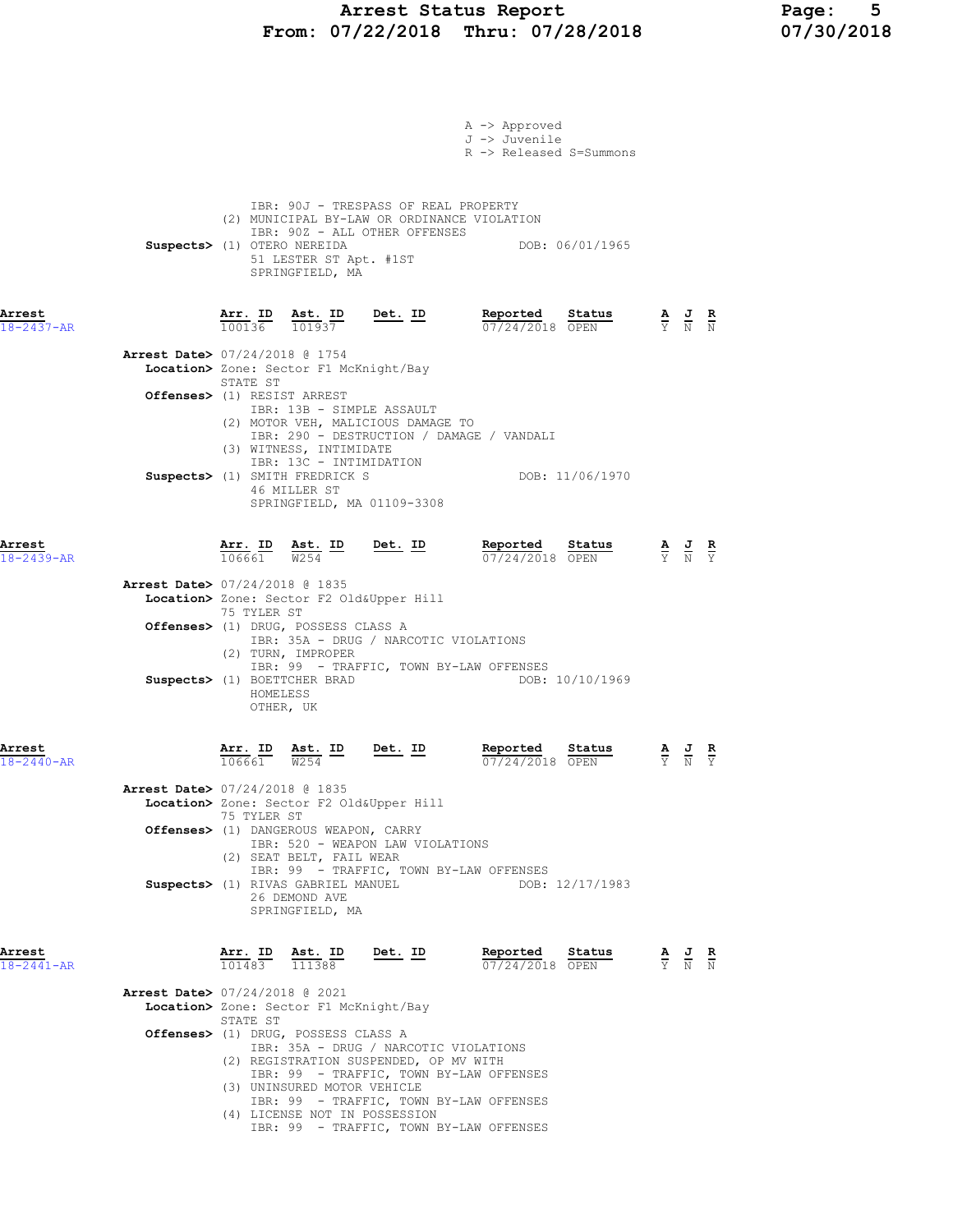# Arrest Status Report Page: 5 From: 07/22/2018 Thru: 07/28/2018 07/30/2018

|                            | A -> Approved<br>J -> Juvenile<br>R -> Released S=Summons                                                                                                                                                                                                                                                                                                                                                                                                                                                                                                                                               |                                                                                                       |                                                |  |
|----------------------------|---------------------------------------------------------------------------------------------------------------------------------------------------------------------------------------------------------------------------------------------------------------------------------------------------------------------------------------------------------------------------------------------------------------------------------------------------------------------------------------------------------------------------------------------------------------------------------------------------------|-------------------------------------------------------------------------------------------------------|------------------------------------------------|--|
|                            | IBR: 90J - TRESPASS OF REAL PROPERTY<br>(2) MUNICIPAL BY-LAW OR ORDINANCE VIOLATION<br>IBR: 90Z - ALL OTHER OFFENSES<br>Suspects> (1) OTERO NEREIDA<br>DOB: 06/01/1965<br>51 LESTER ST Apt. #1ST<br>SPRINGFIELD, MA                                                                                                                                                                                                                                                                                                                                                                                     |                                                                                                       |                                                |  |
| Arrest<br>18-2437-AR       | $\frac{\texttt{Arr.}}{100136}$ $\frac{\texttt{ Ast.}}{101937}$ Det. ID<br>Reported<br>Status<br>07/24/2018 OPEN                                                                                                                                                                                                                                                                                                                                                                                                                                                                                         | $\frac{\mathbf{A}}{\mathbf{Y}}$ $\frac{\mathbf{J}}{\mathbf{N}}$ $\frac{\mathbf{K}}{\mathbf{N}}$       |                                                |  |
|                            | Arrest Date> 07/24/2018 @ 1754<br>Location> Zone: Sector F1 McKnight/Bay<br>STATE ST                                                                                                                                                                                                                                                                                                                                                                                                                                                                                                                    |                                                                                                       |                                                |  |
|                            | Offenses> (1) RESIST ARREST<br>IBR: 13B - SIMPLE ASSAULT<br>(2) MOTOR VEH, MALICIOUS DAMAGE TO                                                                                                                                                                                                                                                                                                                                                                                                                                                                                                          |                                                                                                       |                                                |  |
|                            | IBR: 290 - DESTRUCTION / DAMAGE / VANDALI<br>(3) WITNESS, INTIMIDATE<br>IBR: 13C - INTIMIDATION<br>DOB: 11/06/1970<br>Suspects> (1) SMITH FREDRICK S<br>46 MILLER ST<br>SPRINGFIELD, MA 01109-3308                                                                                                                                                                                                                                                                                                                                                                                                      |                                                                                                       |                                                |  |
| Arrest<br>$18 - 2439 - AR$ | <u>Det. ID</u><br>Reported<br>Status<br>$\frac{\texttt{Arr.}}{106661}$<br>$\frac{\text{Ast.}}{W254}$ ID<br>07/24/2018 OPEN                                                                                                                                                                                                                                                                                                                                                                                                                                                                              | $\frac{\mathbf{A}}{\overline{Y}}$ $\frac{\mathbf{J}}{\overline{N}}$ $\frac{\mathbf{R}}{\overline{Y}}$ |                                                |  |
|                            | Arrest Date> 07/24/2018 @ 1835<br>Location> Zone: Sector F2 Old&Upper Hill<br>75 TYLER ST<br>Offenses> (1) DRUG, POSSESS CLASS A<br>IBR: 35A - DRUG / NARCOTIC VIOLATIONS<br>(2) TURN, IMPROPER<br>IBR: 99 - TRAFFIC, TOWN BY-LAW OFFENSES<br>Suspects> (1) BOETTCHER BRAD<br>DOB: 10/10/1969<br>HOMELESS                                                                                                                                                                                                                                                                                               |                                                                                                       |                                                |  |
| Arrest                     | OTHER, UK<br>Arr. ID<br>Reported<br>Ast. ID<br>Det. ID<br>Status                                                                                                                                                                                                                                                                                                                                                                                                                                                                                                                                        | $\frac{\mathbf{A}}{\overline{Y}}$                                                                     | $\frac{J}{N}$<br>$rac{\mathbf{R}}{\mathbf{Y}}$ |  |
| $18 - 2440 - AR$           | 106661<br>W <sub>254</sub><br>07/24/2018 OPEN<br><b>Arrest Date&gt; 07/24/2018 @ 1835</b><br>Location> Zone: Sector F2 Old&Upper Hill<br>75 TYLER ST<br>Offenses> (1) DANGEROUS WEAPON, CARRY<br>IBR: 520 - WEAPON LAW VIOLATIONS<br>(2) SEAT BELT, FAIL WEAR<br>IBR: 99 - TRAFFIC, TOWN BY-LAW OFFENSES<br>Suspects> (1) RIVAS GABRIEL MANUEL<br>DOB: 12/17/1983<br>26 DEMOND AVE<br>SPRINGFIELD, MA                                                                                                                                                                                                   |                                                                                                       |                                                |  |
| Arrest<br>18-2441-AR       | $\underbrace{Arr.}$ ID $\underbrace{ Ast.}$ ID Det. ID<br><b>Reported Status A J R</b> 07/24/2018 OPEN $\frac{1}{Y}$ <b>N N</b><br>$\overline{101483}$ $\overline{111388}$<br><b>Arrest Date&gt; 07/24/2018 @ 2021</b><br>Location> Zone: Sector F1 McKnight/Bay<br>STATE ST<br>Offenses> (1) DRUG, POSSESS CLASS A<br>IBR: 35A - DRUG / NARCOTIC VIOLATIONS<br>(2) REGISTRATION SUSPENDED, OP MV WITH<br>IBR: 99 - TRAFFIC, TOWN BY-LAW OFFENSES<br>(3) UNINSURED MOTOR VEHICLE<br>IBR: 99 - TRAFFIC, TOWN BY-LAW OFFENSES<br>(4) LICENSE NOT IN POSSESSION<br>IBR: 99 - TRAFFIC, TOWN BY-LAW OFFENSES |                                                                                                       |                                                |  |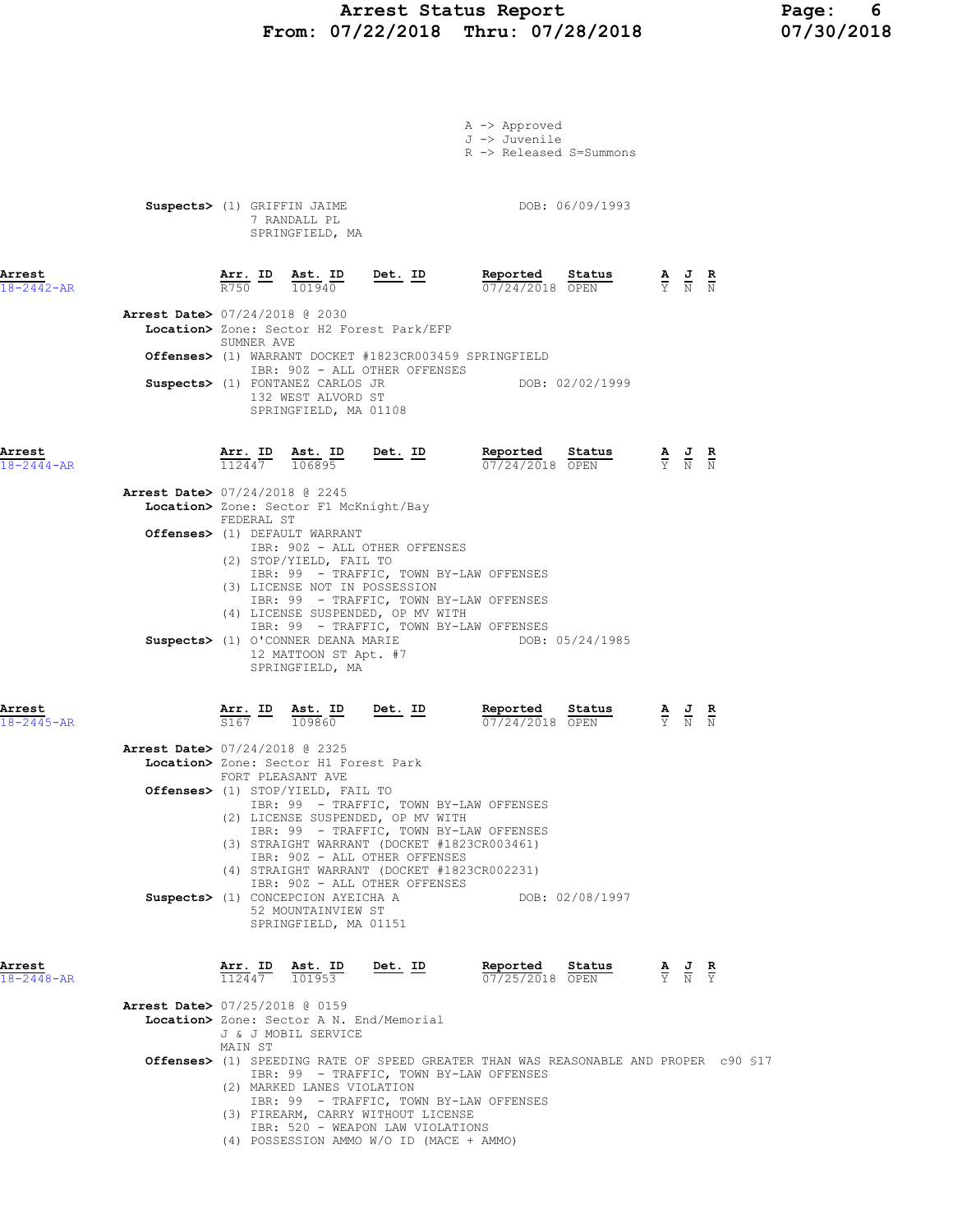# Arrest Status Report Page: 6 From: 07/22/2018 Thru: 07/28/2018

|                                                                        |                   |                                                                                                                                                                             |                                                                          | A -> Approved<br>J -> Juvenile<br>R -> Released S=Summons                                                                                                                                                                                                                                                                                                            |                                                                                                          |  |  |
|------------------------------------------------------------------------|-------------------|-----------------------------------------------------------------------------------------------------------------------------------------------------------------------------|--------------------------------------------------------------------------|----------------------------------------------------------------------------------------------------------------------------------------------------------------------------------------------------------------------------------------------------------------------------------------------------------------------------------------------------------------------|----------------------------------------------------------------------------------------------------------|--|--|
|                                                                        |                   | Suspects> (1) GRIFFIN JAIME<br>7 RANDALL PL<br>SPRINGFIELD, MA                                                                                                              |                                                                          | DOB: 06/09/1993                                                                                                                                                                                                                                                                                                                                                      |                                                                                                          |  |  |
| Arrest<br>$18 - 2442 - AR$<br><b>Arrest Date&gt; 07/24/2018 @ 2030</b> | R750 101940       | $Arr.$ ID Ast. ID                                                                                                                                                           | $Det. ID$<br>Location> Zone: Sector H2 Forest Park/EFP                   |                                                                                                                                                                                                                                                                                                                                                                      |                                                                                                          |  |  |
|                                                                        | SUMNER AVE        | Suspects> (1) FONTANEZ CARLOS JR<br>132 WEST ALVORD ST<br>SPRINGFIELD, MA 01108                                                                                             | IBR: 90Z - ALL OTHER OFFENSES                                            | <b>Offenses&gt;</b> (1) WARRANT DOCKET #1823CR003459 SPRINGFIELD                                                                                                                                                                                                                                                                                                     | DOB: 02/02/1999                                                                                          |  |  |
| Arrest<br>$18 - 2444 - AR$                                             |                   |                                                                                                                                                                             | $\frac{\text{Arr. ID}}{112447}$ $\frac{\text{ Ast. ID}}{106895}$ Det. ID | <b>Reported Status A J R</b><br>$\frac{07}{24/2018}$ OPEN $\frac{1}{2}$ N N                                                                                                                                                                                                                                                                                          |                                                                                                          |  |  |
| Arrest Date> 07/24/2018 @ 2245                                         | FEDERAL ST        | Location> Zone: Sector F1 McKnight/Bay                                                                                                                                      |                                                                          |                                                                                                                                                                                                                                                                                                                                                                      |                                                                                                          |  |  |
|                                                                        |                   | Offenses> (1) DEFAULT WARRANT<br>(2) STOP/YIELD, FAIL TO<br>(3) LICENSE NOT IN POSSESSION<br>Suspects> (1) O'CONNER DEANA MARIE<br>12 MATTOON ST Apt. #7<br>SPRINGFIELD, MA | IBR: 90Z - ALL OTHER OFFENSES<br>(4) LICENSE SUSPENDED, OP MV WITH       | IBR: 99 - TRAFFIC, TOWN BY-LAW OFFENSES<br>IBR: 99 - TRAFFIC, TOWN BY-LAW OFFENSES<br>IBR: 99 - TRAFFIC, TOWN BY-LAW OFFENSES<br>DOB: 05/24/1985                                                                                                                                                                                                                     |                                                                                                          |  |  |
| Arrest<br>$18 - 2445 - AR$                                             |                   |                                                                                                                                                                             |                                                                          | $\frac{\texttt{Arr.}}{\texttt{S167}}\quad\frac{\texttt{ID}}{\texttt{109860}}\quad\frac{\texttt{Det.}}{\texttt{D}}\quad\frac{\texttt{ID}}{\texttt{D}}\qquad\qquad\frac{\texttt{Reported}}{\texttt{07/24/2018}}\quad\frac{\texttt{Status}}{\texttt{OPEN}}\quad\qquad\frac{\texttt{A}}{\texttt{Y}}\quad\frac{\texttt{J}}{\texttt{N}}\quad\frac{\texttt{R}}{\texttt{N}}$ |                                                                                                          |  |  |
| <b>Arrest Date&gt; 07/24/2018 @ 2325</b>                               | FORT PLEASANT AVE | Location> Zone: Sector H1 Forest Park<br>Offenses> (1) STOP/YIELD, FAIL TO                                                                                                  | (2) LICENSE SUSPENDED, OP MV WITH                                        | IBR: 99 - TRAFFIC, TOWN BY-LAW OFFENSES<br>IBR: 99 - TRAFFIC, TOWN BY-LAW OFFENSES                                                                                                                                                                                                                                                                                   |                                                                                                          |  |  |
|                                                                        |                   | Suspects> (1) CONCEPCION AYEICHA A<br>52 MOUNTAINVIEW ST<br>SPRINGFIELD, MA 01151                                                                                           | IBR: 90Z - ALL OTHER OFFENSES<br>IBR: 90Z - ALL OTHER OFFENSES           | (3) STRAIGHT WARRANT (DOCKET #1823CR003461)<br>(4) STRAIGHT WARRANT (DOCKET #1823CR002231)                                                                                                                                                                                                                                                                           | DOB: 02/08/1997                                                                                          |  |  |
| Arrest<br>$18 - 2448 - AR$<br>Arrest Date> 07/25/2018 @ 0159           |                   | $\frac{\texttt{Arr.}}{112447}$ $\frac{\texttt{lab}}{101953}$                                                                                                                | Det. ID                                                                  | Reported Status                                                                                                                                                                                                                                                                                                                                                      | <b>Reported</b> Status $\frac{A}{07/25/2018}$ $\frac{B}{0PEN}$ $\frac{A}{Y}$ $\frac{J}{N}$ $\frac{R}{Y}$ |  |  |
|                                                                        | MAIN ST           | J & J MOBIL SERVICE                                                                                                                                                         | Location> Zone: Sector A N. End/Memorial                                 |                                                                                                                                                                                                                                                                                                                                                                      |                                                                                                          |  |  |
|                                                                        |                   | (2) MARKED LANES VIOLATION                                                                                                                                                  |                                                                          | Offenses> (1) SPEEDING RATE OF SPEED GREATER THAN WAS REASONABLE AND PROPER c90 \$17<br>IBR: 99 - TRAFFIC, TOWN BY-LAW OFFENSES<br>IBR: 99 - TRAFFIC, TOWN BY-LAW OFFENSES                                                                                                                                                                                           |                                                                                                          |  |  |

- (3) FIREARM, CARRY WITHOUT LICENSE
- IBR: 520 WEAPON LAW VIOLATIONS
- (4) POSSESSION AMMO W/O ID (MACE + AMMO)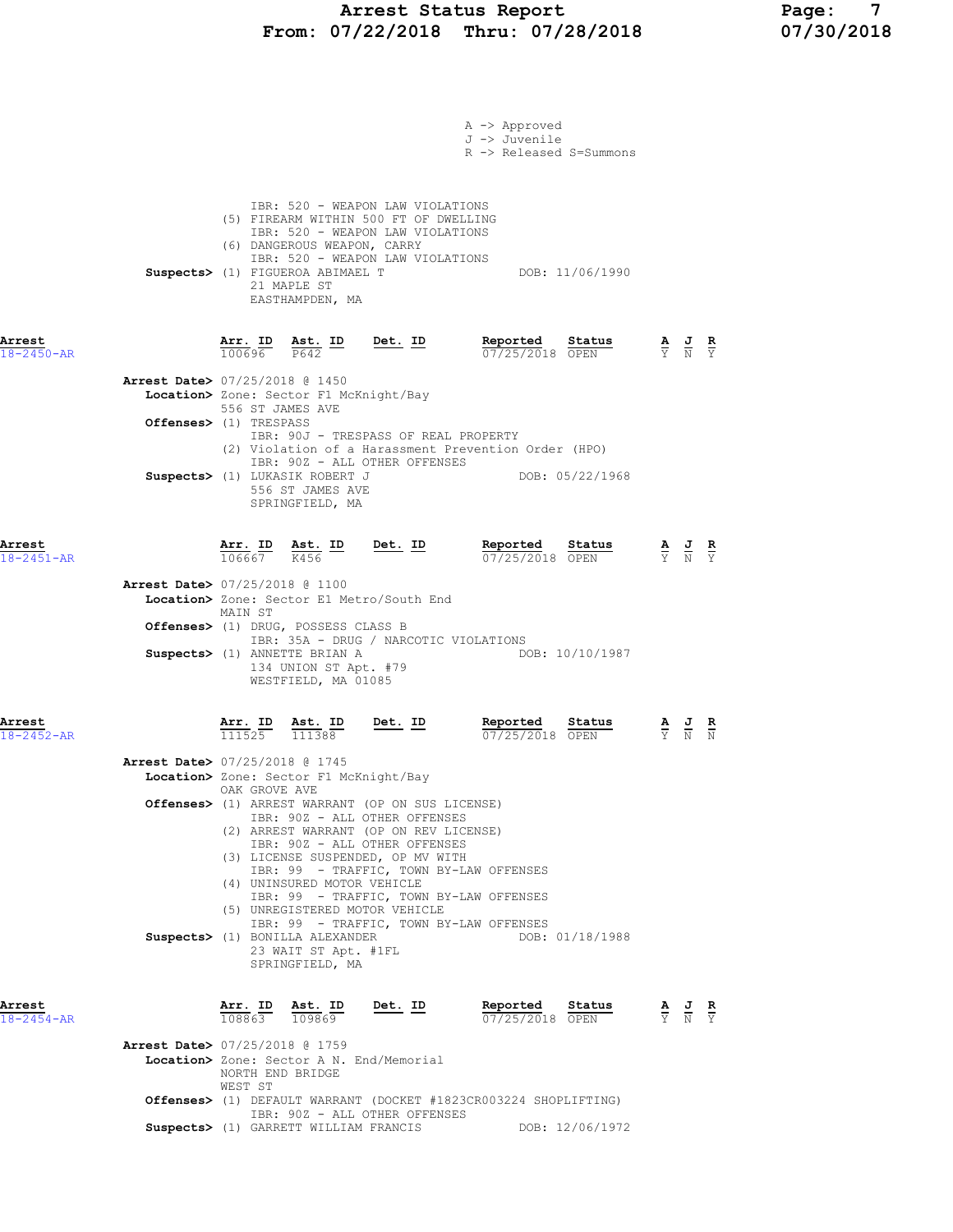# Arrest Status Report Page: 7 From: 07/22/2018 Thru: 07/28/2018 07/30/2018

|                            |                                                                                                                                                                                                                                                        | A -> Approved<br>J -> Juvenile                                                     |                                                                                                                 |
|----------------------------|--------------------------------------------------------------------------------------------------------------------------------------------------------------------------------------------------------------------------------------------------------|------------------------------------------------------------------------------------|-----------------------------------------------------------------------------------------------------------------|
|                            |                                                                                                                                                                                                                                                        | R -> Released S=Summons                                                            |                                                                                                                 |
|                            | IBR: 520 - WEAPON LAW VIOLATIONS<br>(5) FIREARM WITHIN 500 FT OF DWELLING<br>IBR: 520 - WEAPON LAW VIOLATIONS<br>(6) DANGEROUS WEAPON, CARRY<br>IBR: 520 - WEAPON LAW VIOLATIONS<br>Suspects> (1) FIGUEROA ABIMAEL T<br>21 MAPLE ST<br>EASTHAMPDEN, MA |                                                                                    | DOB: 11/06/1990                                                                                                 |
| Arrest<br>$18 - 2450 - AR$ | Arr. ID<br>$\frac{\texttt{Ast.}}{\texttt{P642}}$ ID<br>100696                                                                                                                                                                                          | Det. ID<br>Reported<br>07/25/2018 OPEN                                             | Status<br>$\frac{\mathbf{A}}{\overline{Y}}$ $\frac{\mathbf{J}}{\overline{N}}$ $\frac{\mathbf{R}}{\overline{Y}}$ |
|                            | <b>Arrest Date&gt; 07/25/2018 @ 1450</b><br>Location> Zone: Sector F1 McKnight/Bay<br>556 ST JAMES AVE<br>Offenses> (1) TRESPASS                                                                                                                       |                                                                                    |                                                                                                                 |
|                            | IBR: 90J - TRESPASS OF REAL PROPERTY<br>IBR: 90Z - ALL OTHER OFFENSES<br>Suspects> (1) LUKASIK ROBERT J<br>556 ST JAMES AVE<br>SPRINGFIELD, MA                                                                                                         | (2) Violation of a Harassment Prevention Order (HPO)<br>DOB: 05/22/1968            |                                                                                                                 |
| Arrest<br>$18 - 2451 - AR$ | <u>Arr.</u> ID<br>Ast. ID<br>106667<br>K456                                                                                                                                                                                                            | Reported<br><u>Det. ID</u><br>07/25/2018 OPEN                                      | Status<br>$\frac{\mathbf{A}}{\mathbf{Y}}$ $\frac{\mathbf{J}}{\mathbf{N}}$ $\frac{\mathbf{R}}{\mathbf{Y}}$       |
|                            | <b>Arrest Date&gt; 07/25/2018 @ 1100</b><br>Location> Zone: Sector E1 Metro/South End<br>MAIN ST<br>Offenses> (1) DRUG, POSSESS CLASS B                                                                                                                |                                                                                    |                                                                                                                 |
|                            | Suspects> (1) ANNETTE BRIAN A<br>134 UNION ST Apt. #79<br>WESTFIELD, MA 01085                                                                                                                                                                          | IBR: 35A - DRUG / NARCOTIC VIOLATIONS                                              | DOB: 10/10/1987                                                                                                 |
| Arrest<br>$18 - 2452 - AR$ | <u>Arr.</u> ID<br>Ast. ID<br>111525<br>111388                                                                                                                                                                                                          | Reported<br>Det. ID<br>07/25/2018 OPEN                                             | Status<br>$\frac{\mathbf{A}}{\mathbf{Y}}$ $\frac{\mathbf{J}}{\mathbf{N}}$                                       |
|                            | Arrest Date> 07/25/2018 @ 1745<br>Location> Zone: Sector F1 McKnight/Bay<br>OAK GROVE AVE                                                                                                                                                              |                                                                                    |                                                                                                                 |
|                            | Offenses> (1) ARREST WARRANT (OP ON SUS LICENSE)<br>IBR: 90Z - ALL OTHER OFFENSES<br>(2) ARREST WARRANT (OP ON REV LICENSE)<br>IBR: 90Z - ALL OTHER OFFENSES<br>(3) LICENSE SUSPENDED, OP MV WITH                                                      | IBR: 99 - TRAFFIC, TOWN BY-LAW OFFENSES                                            |                                                                                                                 |
|                            | (4) UNINSURED MOTOR VEHICLE<br>(5) UNREGISTERED MOTOR VEHICLE<br>Suspects> (1) BONILLA ALEXANDER<br>23 WAIT ST Apt. #1FL                                                                                                                               | IBR: 99 - TRAFFIC, TOWN BY-LAW OFFENSES<br>IBR: 99 - TRAFFIC, TOWN BY-LAW OFFENSES | DOB: 01/18/1988                                                                                                 |
| Arrest<br>$18 - 2454 - AR$ | SPRINGFIELD, MA<br>Arr. <u>ID</u><br><u>Ast. ID</u><br>109869<br>108863                                                                                                                                                                                | <u>Det. ID</u><br>Reported<br>07/25/2018 OPEN                                      | Status<br>$\frac{\mathbf{A}}{\mathbf{Y}}$ $\frac{\mathbf{J}}{\mathbf{N}}$ $\frac{\mathbf{R}}{\mathbf{Y}}$       |
|                            | Arrest Date> 07/25/2018 @ 1759<br>Location> Zone: Sector A N. End/Memorial<br>NORTH END BRIDGE<br>WEST ST                                                                                                                                              |                                                                                    |                                                                                                                 |
|                            | IBR: 90Z - ALL OTHER OFFENSES<br>Suspects> (1) GARRETT WILLIAM FRANCIS                                                                                                                                                                                 | Offenses> (1) DEFAULT WARRANT (DOCKET #1823CR003224 SHOPLIFTING)                   | DOB: 12/06/1972                                                                                                 |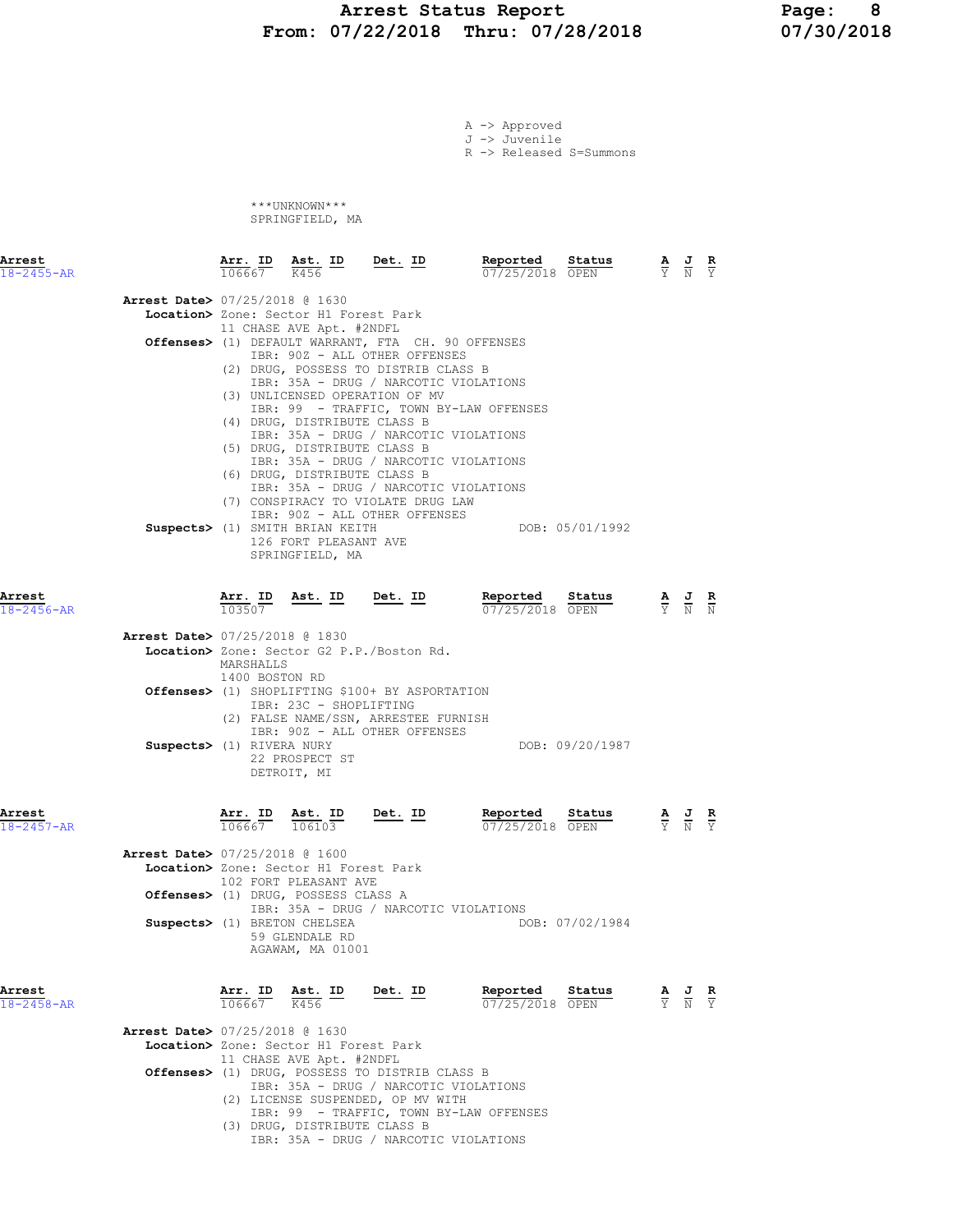## Arrest Status Report 1994 Page: 8<br>37/22/2018 Thru: 07/28/2018 107/30/2018 From: 07/22/2018 Thru: 07/28/2018

|                                          |                             |                                                                                       |                                                                                                                             | A -> Approved<br>J -> Juvenile<br>R -> Released S=Summons |                 |                                                                                                 |  |
|------------------------------------------|-----------------------------|---------------------------------------------------------------------------------------|-----------------------------------------------------------------------------------------------------------------------------|-----------------------------------------------------------|-----------------|-------------------------------------------------------------------------------------------------|--|
|                                          |                             | ***UNKNOWN***<br>SPRINGFIELD, MA                                                      |                                                                                                                             |                                                           |                 |                                                                                                 |  |
| Arrest<br>$18 - 2455 - AR$               | 106667 K456                 |                                                                                       | Arr. ID Ast. ID Det. ID                                                                                                     | Reported<br>07/25/2018 OPEN                               | Status          | $\frac{\mathbf{A}}{\mathbf{Y}}$ $\frac{\mathbf{J}}{\mathbf{N}}$ $\frac{\mathbf{R}}{\mathbf{Y}}$ |  |
| <b>Arrest Date&gt; 07/25/2018 @ 1630</b> |                             | Location> Zone: Sector H1 Forest Park<br>11 CHASE AVE Apt. #2NDFL                     |                                                                                                                             |                                                           |                 |                                                                                                 |  |
|                                          |                             |                                                                                       | Offenses> (1) DEFAULT WARRANT, FTA CH. 90 OFFENSES<br>IBR: 90Z - ALL OTHER OFFENSES<br>(2) DRUG, POSSESS TO DISTRIB CLASS B |                                                           |                 |                                                                                                 |  |
|                                          |                             | (4) DRUG, DISTRIBUTE CLASS B                                                          | IBR: 35A - DRUG / NARCOTIC VIOLATIONS<br>(3) UNLICENSED OPERATION OF MV                                                     | IBR: 99 - TRAFFIC, TOWN BY-LAW OFFENSES                   |                 |                                                                                                 |  |
|                                          |                             | (5) DRUG, DISTRIBUTE CLASS B<br>(6) DRUG, DISTRIBUTE CLASS B                          | IBR: 35A - DRUG / NARCOTIC VIOLATIONS<br>IBR: 35A - DRUG / NARCOTIC VIOLATIONS<br>IBR: 35A - DRUG / NARCOTIC VIOLATIONS     |                                                           |                 |                                                                                                 |  |
|                                          |                             | Suspects> (1) SMITH BRIAN KEITH<br>126 FORT PLEASANT AVE<br>SPRINGFIELD, MA           | (7) CONSPIRACY TO VIOLATE DRUG LAW<br>IBR: 90Z - ALL OTHER OFFENSES                                                         |                                                           | DOB: 05/01/1992 |                                                                                                 |  |
| Arrest<br>$18 - 2456 - AR$               | 103507                      |                                                                                       | Arr. ID Ast. ID Det. ID                                                                                                     | Reported<br>07/25/2018 OPEN                               | Status          | $\frac{\mathbf{A}}{\mathbf{Y}}$ $\frac{\mathbf{J}}{\mathbf{N}}$ $\frac{\mathbf{R}}{\mathbf{N}}$ |  |
| <b>Arrest Date&gt; 07/25/2018 @ 1830</b> | MARSHALLS<br>1400 BOSTON RD |                                                                                       | Location> Zone: Sector G2 P.P./Boston Rd.                                                                                   |                                                           |                 |                                                                                                 |  |
|                                          |                             | IBR: 23C - SHOPLIFTING                                                                | Offenses> (1) SHOPLIFTING \$100+ BY ASPORTATION<br>(2) FALSE NAME/SSN, ARRESTEE FURNISH<br>IBR: 90Z - ALL OTHER OFFENSES    |                                                           |                 |                                                                                                 |  |
|                                          | Suspects> (1) RIVERA NURY   | 22 PROSPECT ST<br>DETROIT, MI                                                         |                                                                                                                             |                                                           | DOB: 09/20/1987 |                                                                                                 |  |
| Arrest<br>$18 - 2457 - AR$               |                             | $\frac{\texttt{Arr.}}{106667}$ $\frac{\texttt{lab}}{106103}$                          | Det. ID                                                                                                                     | Reported<br>07/25/2018 OPEN                               | Status          | $\frac{\mathbf{A}}{\mathbf{Y}}$ $\frac{\mathbf{J}}{\mathbf{N}}$ $\frac{\mathbf{R}}{\mathbf{Y}}$ |  |
| <b>Arrest Date&gt; 07/25/2018 @ 1600</b> |                             | Location> Zone: Sector H1 Forest Park<br>102 FORT PLEASANT AVE                        |                                                                                                                             |                                                           |                 |                                                                                                 |  |
|                                          |                             | Offenses> (1) DRUG, POSSESS CLASS A<br>Suspects> (1) BRETON CHELSEA<br>59 GLENDALE RD | IBR: 35A - DRUG / NARCOTIC VIOLATIONS                                                                                       |                                                           | DOB: 07/02/1984 |                                                                                                 |  |
|                                          |                             | AGAWAM, MA 01001                                                                      |                                                                                                                             |                                                           |                 |                                                                                                 |  |
| Arrest<br>$18 - 2458 - AR$               | $106667$ K456               | Arr. ID Ast. ID                                                                       | Det. ID                                                                                                                     | Reported<br>07/25/2018 OPEN                               | Status          | $\frac{\mathbf{A}}{\mathbf{Y}}$ $\frac{\mathbf{J}}{\mathbf{N}}$ $\frac{\mathbf{R}}{\mathbf{Y}}$ |  |
| <b>Arrest Date&gt; 07/25/2018 @ 1630</b> |                             | Location> Zone: Sector H1 Forest Park<br>11 CHASE AVE Apt. #2NDFL                     | Offenses> (1) DRUG, POSSESS TO DISTRIB CLASS B<br>IBR: 35A - DRUG / NARCOTIC VIOLATIONS                                     |                                                           |                 |                                                                                                 |  |

(2) LICENSE SUSPENDED, OP MV WITH

(3) DRUG, DISTRIBUTE CLASS B

IBR: 99 - TRAFFIC, TOWN BY-LAW OFFENSES

IBR: 35A - DRUG / NARCOTIC VIOLATIONS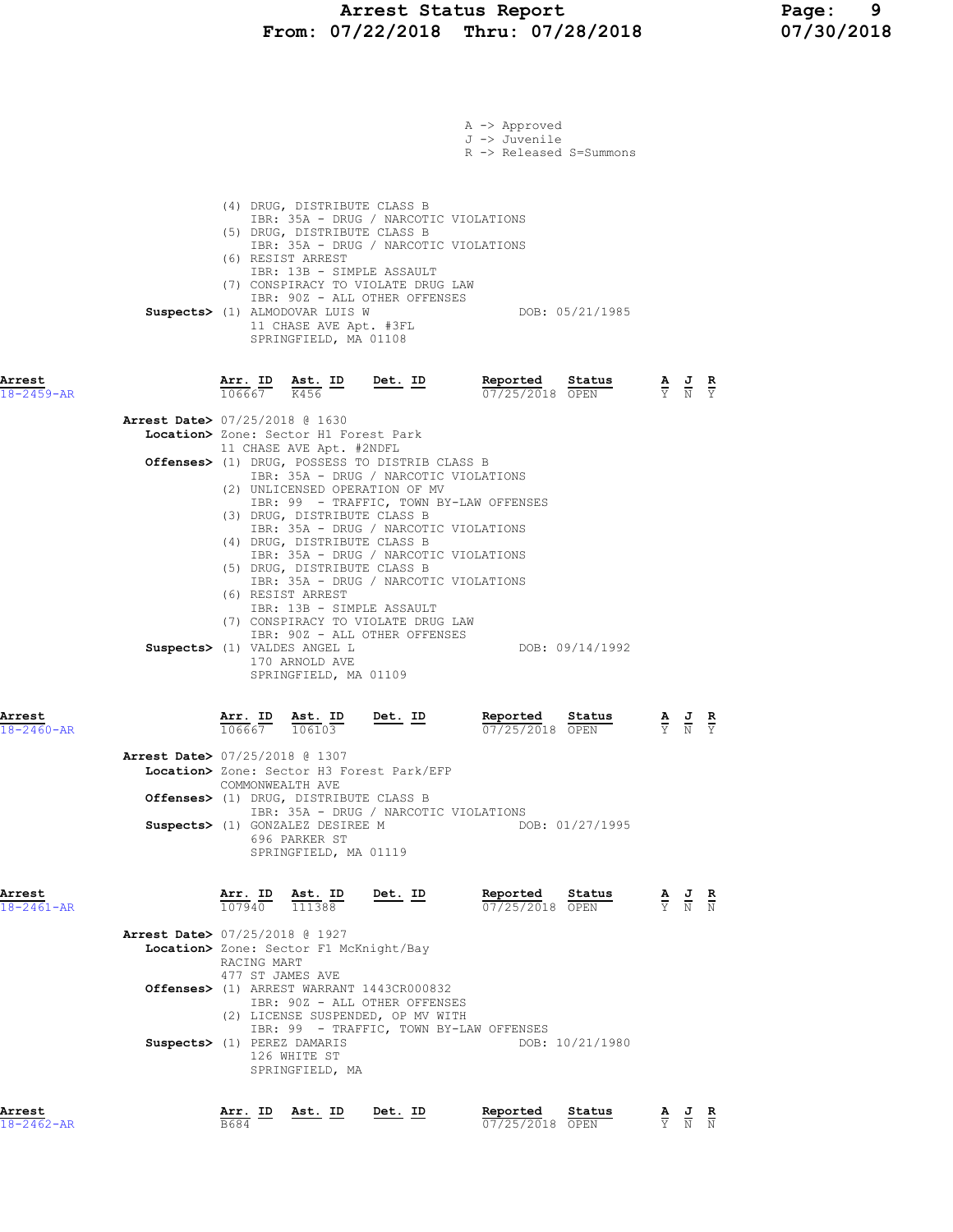# Arrest Status Report Page: 9 From: 07/22/2018 Thru: 07/28/2018 07/30/2018

|                            |                                          |                         |                                                                                                                                                                                                     |                                                                                                                                                       | A -> Approved<br>J -> Juvenile<br>R -> Released S=Summons  |                                 |                                                                                                 |                               |
|----------------------------|------------------------------------------|-------------------------|-----------------------------------------------------------------------------------------------------------------------------------------------------------------------------------------------------|-------------------------------------------------------------------------------------------------------------------------------------------------------|------------------------------------------------------------|---------------------------------|-------------------------------------------------------------------------------------------------|-------------------------------|
|                            |                                          |                         | (4) DRUG, DISTRIBUTE CLASS B<br>(5) DRUG, DISTRIBUTE CLASS B<br>(6) RESIST ARREST<br>IBR: 13B - SIMPLE ASSAULT<br>Suspects> (1) ALMODOVAR LUIS W<br>11 CHASE AVE Apt. #3FL<br>SPRINGFIELD, MA 01108 | IBR: 35A - DRUG / NARCOTIC VIOLATIONS<br>IBR: 35A - DRUG / NARCOTIC VIOLATIONS<br>(7) CONSPIRACY TO VIOLATE DRUG LAW<br>IBR: 90Z - ALL OTHER OFFENSES | DOB: 05/21/1985                                            |                                 |                                                                                                 |                               |
| Arrest<br>18-2459-AR       |                                          | Arr. ID<br>106667       | Ast. ID<br>K456                                                                                                                                                                                     | <u>Det.</u> ID                                                                                                                                        | Reported<br>Status<br>07/25/2018 OPEN                      |                                 | $\frac{\mathbf{A}}{\mathbf{Y}}$ $\frac{\mathbf{J}}{\mathbf{N}}$                                 | $rac{\mathbf{R}}{\Upsilon}$   |
|                            | Arrest Date> 07/25/2018 @ 1630           |                         | Location> Zone: Sector H1 Forest Park                                                                                                                                                               |                                                                                                                                                       |                                                            |                                 |                                                                                                 |                               |
|                            |                                          |                         | 11 CHASE AVE Apt. #2NDFL                                                                                                                                                                            | Offenses> (1) DRUG, POSSESS TO DISTRIB CLASS B                                                                                                        |                                                            |                                 |                                                                                                 |                               |
|                            |                                          |                         |                                                                                                                                                                                                     | IBR: 35A - DRUG / NARCOTIC VIOLATIONS<br>(2) UNLICENSED OPERATION OF MV                                                                               |                                                            |                                 |                                                                                                 |                               |
|                            |                                          |                         | (3) DRUG, DISTRIBUTE CLASS B                                                                                                                                                                        |                                                                                                                                                       | IBR: 99 - TRAFFIC, TOWN BY-LAW OFFENSES                    |                                 |                                                                                                 |                               |
|                            |                                          |                         | (4) DRUG, DISTRIBUTE CLASS B                                                                                                                                                                        | IBR: 35A - DRUG / NARCOTIC VIOLATIONS                                                                                                                 |                                                            |                                 |                                                                                                 |                               |
|                            |                                          |                         | (5) DRUG, DISTRIBUTE CLASS B                                                                                                                                                                        | IBR: 35A - DRUG / NARCOTIC VIOLATIONS                                                                                                                 |                                                            |                                 |                                                                                                 |                               |
|                            |                                          |                         | (6) RESIST ARREST<br>IBR: 13B - SIMPLE ASSAULT                                                                                                                                                      | IBR: 35A - DRUG / NARCOTIC VIOLATIONS                                                                                                                 |                                                            |                                 |                                                                                                 |                               |
|                            |                                          |                         |                                                                                                                                                                                                     | (7) CONSPIRACY TO VIOLATE DRUG LAW<br>IBR: 90Z - ALL OTHER OFFENSES                                                                                   |                                                            |                                 |                                                                                                 |                               |
|                            |                                          |                         | Suspects> (1) VALDES ANGEL L<br>170 ARNOLD AVE<br>SPRINGFIELD, MA 01109                                                                                                                             |                                                                                                                                                       | DOB: 09/14/1992                                            |                                 |                                                                                                 |                               |
| Arrest                     |                                          | Arr. ID                 | Ast. ID                                                                                                                                                                                             | <u>Det.</u> ID                                                                                                                                        | Reported<br>Status                                         | $\frac{\mathbf{A}}{\mathbf{Y}}$ | $\frac{J}{N}$                                                                                   | $rac{\mathbf{R}}{\mathbf{Y}}$ |
| $18 - 2460 - AR$           | <b>Arrest Date&gt; 07/25/2018 @ 1307</b> | 106667                  | 106103                                                                                                                                                                                              |                                                                                                                                                       | 07/25/2018 OPEN                                            |                                 |                                                                                                 |                               |
|                            |                                          | COMMONWEALTH AVE        |                                                                                                                                                                                                     | Location> Zone: Sector H3 Forest Park/EFP                                                                                                             |                                                            |                                 |                                                                                                 |                               |
|                            |                                          |                         | Offenses> (1) DRUG, DISTRIBUTE CLASS B                                                                                                                                                              | IBR: 35A - DRUG / NARCOTIC VIOLATIONS                                                                                                                 |                                                            |                                 |                                                                                                 |                               |
|                            |                                          |                         | Suspects> (1) GONZALEZ DESIREE M<br>696 PARKER ST                                                                                                                                                   |                                                                                                                                                       | DOB: 01/27/1995                                            |                                 |                                                                                                 |                               |
|                            |                                          |                         | SPRINGFIELD, MA 01119                                                                                                                                                                               |                                                                                                                                                       |                                                            |                                 |                                                                                                 |                               |
| Arrest<br>$18 - 2461 - AR$ |                                          | Arr. ID<br>107940       | Ast. ID<br>111388                                                                                                                                                                                   | Det. ID                                                                                                                                               | Reported<br>Status<br>07/25/2018 OPEN                      |                                 | $\frac{\mathbf{A}}{\mathbf{Y}}$ $\frac{\mathbf{J}}{\mathbf{N}}$ $\frac{\mathbf{R}}{\mathbf{N}}$ |                               |
|                            | <b>Arrest Date&gt;</b> 07/25/2018 @ 1927 | RACING MART             | Location> Zone: Sector F1 McKnight/Bay                                                                                                                                                              |                                                                                                                                                       |                                                            |                                 |                                                                                                 |                               |
|                            |                                          | 477 ST JAMES AVE        |                                                                                                                                                                                                     | Offenses> (1) ARREST WARRANT 1443CR000832                                                                                                             |                                                            |                                 |                                                                                                 |                               |
|                            |                                          |                         |                                                                                                                                                                                                     | IBR: 90Z - ALL OTHER OFFENSES<br>(2) LICENSE SUSPENDED, OP MV WITH                                                                                    |                                                            |                                 |                                                                                                 |                               |
|                            | Suspects> (1) PEREZ DAMARIS              |                         |                                                                                                                                                                                                     |                                                                                                                                                       | IBR: 99 - TRAFFIC, TOWN BY-LAW OFFENSES<br>DOB: 10/21/1980 |                                 |                                                                                                 |                               |
|                            |                                          |                         | 126 WHITE ST<br>SPRINGFIELD, MA                                                                                                                                                                     |                                                                                                                                                       |                                                            |                                 |                                                                                                 |                               |
| Arrest<br>$18 - 2462 - AR$ |                                          | <u>Arr. I</u> D<br>B684 | Ast. ID                                                                                                                                                                                             | Det. ID                                                                                                                                               | <u>Reported</u><br>Status<br>07/25/2018 OPEN               |                                 | $\frac{J}{N}$ $\frac{R}{N}$                                                                     |                               |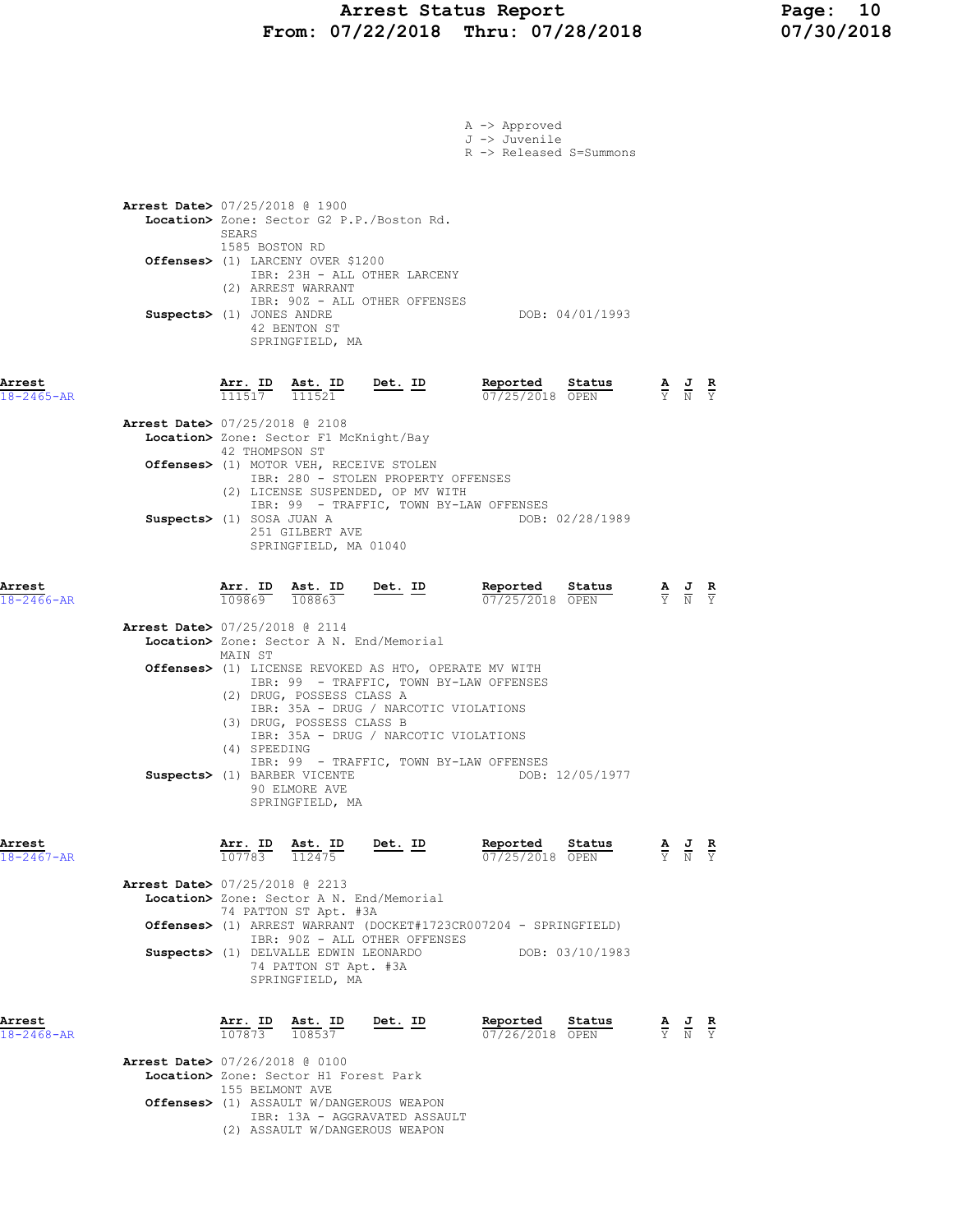# Arrest Status Report Page: 10 From: 07/22/2018 Thru: 07/28/2018 07/30/2018

|                            |                                                                                                                                                                                                                                                              |                | A -> Approved<br>J -> Juvenile<br>R -> Released S=Summons |                                                                                                 |                                                                                                       |  |
|----------------------------|--------------------------------------------------------------------------------------------------------------------------------------------------------------------------------------------------------------------------------------------------------------|----------------|-----------------------------------------------------------|-------------------------------------------------------------------------------------------------|-------------------------------------------------------------------------------------------------------|--|
|                            | Arrest Date> 07/25/2018 @ 1900<br>Location> Zone: Sector G2 P.P./Boston Rd.<br>SEARS                                                                                                                                                                         |                |                                                           |                                                                                                 |                                                                                                       |  |
|                            | 1585 BOSTON RD<br>Offenses> (1) LARCENY OVER \$1200<br>IBR: 23H - ALL OTHER LARCENY<br>(2) ARREST WARRANT                                                                                                                                                    |                |                                                           |                                                                                                 |                                                                                                       |  |
|                            | IBR: 90Z - ALL OTHER OFFENSES<br>Suspects> (1) JONES ANDRE<br>42 BENTON ST<br>SPRINGFIELD, MA                                                                                                                                                                |                | DOB: 04/01/1993                                           |                                                                                                 |                                                                                                       |  |
| Arrest<br>$18 - 2465 - AR$ | <u>Arr.</u> ID<br>Ast. ID<br>111517<br>111521                                                                                                                                                                                                                | $Det. ID$      | Reported<br>Status<br>07/25/2018 OPEN                     | $\frac{\mathbf{A}}{\mathbf{Y}}$ $\frac{\mathbf{J}}{\mathbf{N}}$ $\frac{\mathbf{R}}{\mathbf{Y}}$ |                                                                                                       |  |
|                            | Arrest Date> 07/25/2018 @ 2108<br>Location> Zone: Sector F1 McKnight/Bay<br>42 THOMPSON ST                                                                                                                                                                   |                |                                                           |                                                                                                 |                                                                                                       |  |
|                            | Offenses> (1) MOTOR VEH, RECEIVE STOLEN<br>IBR: 280 - STOLEN PROPERTY OFFENSES<br>(2) LICENSE SUSPENDED, OP MV WITH                                                                                                                                          |                |                                                           |                                                                                                 |                                                                                                       |  |
|                            | IBR: 99 - TRAFFIC, TOWN BY-LAW OFFENSES<br>Suspects> (1) SOSA JUAN A<br>251 GILBERT AVE<br>SPRINGFIELD, MA 01040                                                                                                                                             |                | DOB: 02/28/1989                                           |                                                                                                 |                                                                                                       |  |
| Arrest<br>$18 - 2466 - AR$ | Arr. ID<br>Ast. ID<br>109869 108863                                                                                                                                                                                                                          | <u>Det. ID</u> | Reported<br>Status<br>07/25/2018 OPEN                     |                                                                                                 | $\frac{\mathbf{A}}{\mathbf{Y}}$ $\frac{\mathbf{J}}{\mathbf{N}}$ $\frac{\mathbf{R}}{\mathbf{Y}}$       |  |
|                            | <b>Arrest Date&gt; 07/25/2018 @ 2114</b><br>Location> Zone: Sector A N. End/Memorial<br>MAIN ST                                                                                                                                                              |                |                                                           |                                                                                                 |                                                                                                       |  |
|                            | Offenses> (1) LICENSE REVOKED AS HTO, OPERATE MV WITH<br>IBR: 99 - TRAFFIC, TOWN BY-LAW OFFENSES<br>(2) DRUG, POSSESS CLASS A<br>IBR: 35A - DRUG / NARCOTIC VIOLATIONS<br>(3) DRUG, POSSESS CLASS B<br>IBR: 35A - DRUG / NARCOTIC VIOLATIONS<br>(4) SPEEDING |                |                                                           |                                                                                                 |                                                                                                       |  |
|                            | IBR: 99 - TRAFFIC, TOWN BY-LAW OFFENSES<br>Suspects> (1) BARBER VICENTE<br>90 ELMORE AVE<br>SPRINGFIELD, MA                                                                                                                                                  |                | DOB: 12/05/1977                                           |                                                                                                 |                                                                                                       |  |
| Arrest<br>$18 - 2467 - AR$ | <b>Arr. ID Ast. ID</b> $\frac{107783}{112475}$<br>Ast. ID<br>Arrest Date> 07/25/2018 @ 2213                                                                                                                                                                  | <u>Det. ID</u> | Reported Status<br>07/25/2018 OPEN                        | $\frac{\mathbf{A}}{\mathbf{Y}}$ $\frac{\mathbf{J}}{\mathbf{N}}$ $\frac{\mathbf{R}}{\mathbf{Y}}$ |                                                                                                       |  |
|                            | Location> Zone: Sector A N. End/Memorial<br>74 PATTON ST Apt. #3A<br>Offenses> (1) ARREST WARRANT (DOCKET#1723CR007204 - SPRINGFIELD)                                                                                                                        |                |                                                           |                                                                                                 |                                                                                                       |  |
|                            | IBR: 90Z - ALL OTHER OFFENSES<br>Suspects> (1) DELVALLE EDWIN LEONARDO<br>74 PATTON ST Apt. #3A<br>SPRINGFIELD, MA                                                                                                                                           |                | DOB: 03/10/1983                                           |                                                                                                 |                                                                                                       |  |
| Arrest<br>18-2468-AR       | Arr. ID<br>Ast. ID<br>107873 108537<br><b>Arrest Date&gt; 07/26/2018 @ 0100</b>                                                                                                                                                                              | <u>Det. ID</u> | Reported<br>Status<br>07/26/2018 OPEN                     |                                                                                                 | $\frac{\mathbf{A}}{\overline{Y}}$ $\frac{\mathbf{J}}{\overline{N}}$ $\frac{\mathbf{R}}{\overline{Y}}$ |  |
|                            | Location> Zone: Sector H1 Forest Park<br>155 BELMONT AVE<br><b>Offenses&gt;</b> (1) ASSAULT W/DANGEROUS WEAPON<br>IBR: 13A - AGGRAVATED ASSAULT<br>(2) ASSAULT W/DANGEROUS WEAPON                                                                            |                |                                                           |                                                                                                 |                                                                                                       |  |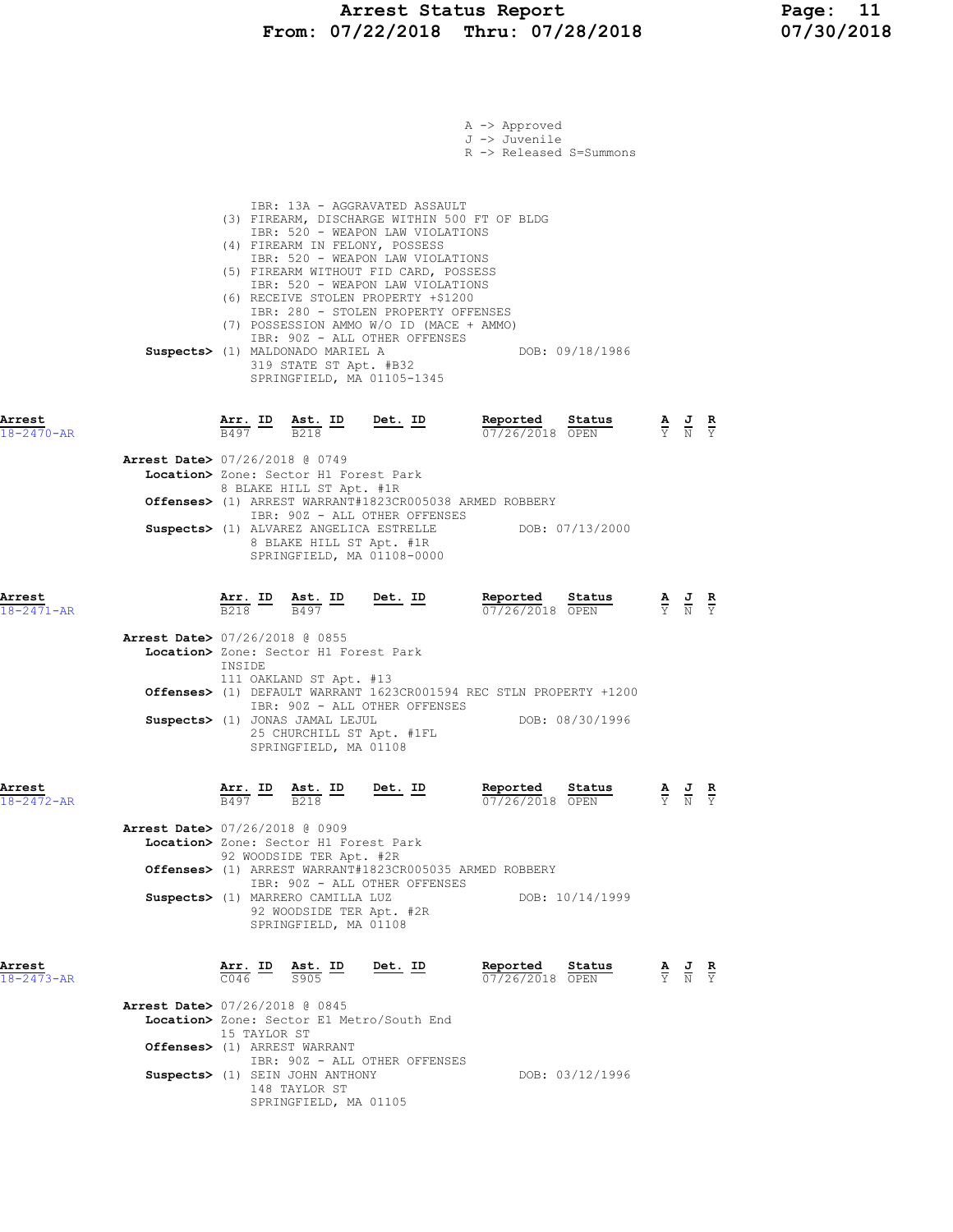|                            |                                          |                                          |                                                                                                                                                 |                                                                                                                                                                                                                                                                                                                                                                                                                                                               | A -> Approved<br>J -> Juvenile<br>R -> Released S=Summons |                 |                                                                                                 |                                                                                                 |               |
|----------------------------|------------------------------------------|------------------------------------------|-------------------------------------------------------------------------------------------------------------------------------------------------|---------------------------------------------------------------------------------------------------------------------------------------------------------------------------------------------------------------------------------------------------------------------------------------------------------------------------------------------------------------------------------------------------------------------------------------------------------------|-----------------------------------------------------------|-----------------|-------------------------------------------------------------------------------------------------|-------------------------------------------------------------------------------------------------|---------------|
|                            |                                          |                                          | Suspects> (1) MALDONADO MARIEL A<br>319 STATE ST Apt. #B32                                                                                      | IBR: 13A - AGGRAVATED ASSAULT<br>(3) FIREARM, DISCHARGE WITHIN 500 FT OF BLDG<br>IBR: 520 - WEAPON LAW VIOLATIONS<br>(4) FIREARM IN FELONY, POSSESS<br>IBR: 520 - WEAPON LAW VIOLATIONS<br>(5) FIREARM WITHOUT FID CARD, POSSESS<br>IBR: 520 - WEAPON LAW VIOLATIONS<br>(6) RECEIVE STOLEN PROPERTY +\$1200<br>IBR: 280 - STOLEN PROPERTY OFFENSES<br>(7) POSSESSION AMMO W/O ID (MACE + AMMO)<br>IBR: 902 - ALL OTHER OFFENSES<br>SPRINGFIELD, MA 01105-1345 |                                                           | DOB: 09/18/1986 |                                                                                                 |                                                                                                 |               |
| Arrest<br>18-2470-AR       |                                          | B497                                     | <u>Arr. ID Ast. ID Det. ID</u><br>B218                                                                                                          |                                                                                                                                                                                                                                                                                                                                                                                                                                                               | Reported Status<br>07/26/2018 OPEN                        |                 | $\frac{A}{Y}$ $\frac{J}{N}$                                                                     |                                                                                                 | $\frac{R}{Y}$ |
|                            | <b>Arrest Date&gt; 07/26/2018 @ 0749</b> |                                          | Location> Zone: Sector H1 Forest Park<br>8 BLAKE HILL ST Apt. #1R                                                                               |                                                                                                                                                                                                                                                                                                                                                                                                                                                               |                                                           |                 |                                                                                                 |                                                                                                 |               |
|                            |                                          |                                          | 8 BLAKE HILL ST Apt. #1R                                                                                                                        | Offenses> (1) ARREST WARRANT#1823CR005038 ARMED ROBBERY<br>IBR: 90Z - ALL OTHER OFFENSES<br>Suspects> (1) ALVAREZ ANGELICA ESTRELLE DOB: 07/13/2000<br>SPRINGFIELD, MA 01108-0000                                                                                                                                                                                                                                                                             |                                                           |                 |                                                                                                 |                                                                                                 |               |
| Arrest<br>$18 - 2471 - AR$ |                                          | Arr. ID<br><b>B218</b>                   | Ast. ID<br>B497                                                                                                                                 | $Det. ID$                                                                                                                                                                                                                                                                                                                                                                                                                                                     | Reported<br>07/26/2018 OPEN                               | Status          |                                                                                                 | $\frac{\mathbf{A}}{\mathbf{Y}}$ $\frac{\mathbf{J}}{\mathbf{N}}$ $\frac{\mathbf{R}}{\mathbf{Y}}$ |               |
|                            | <b>Arrest Date&gt; 07/26/2018 @ 0855</b> | INSIDE                                   | Location> Zone: Sector H1 Forest Park<br>111 OAKLAND ST Apt. #13                                                                                | Offenses> (1) DEFAULT WARRANT 1623CR001594 REC STLN PROPERTY +1200                                                                                                                                                                                                                                                                                                                                                                                            |                                                           |                 |                                                                                                 |                                                                                                 |               |
|                            |                                          |                                          | Suspects> (1) JONAS JAMAL LEJUL<br>25 CHURCHILL ST Apt. #1FL<br>SPRINGFIELD, MA 01108                                                           | IBR: 90Z - ALL OTHER OFFENSES                                                                                                                                                                                                                                                                                                                                                                                                                                 |                                                           | DOB: 08/30/1996 |                                                                                                 |                                                                                                 |               |
| Arrest<br>$18 - 2472 - AR$ |                                          | $\frac{\texttt{Arr.}}{\texttt{B497}}$ ID | $Ast.$ ID Det. ID<br>$B218$                                                                                                                     |                                                                                                                                                                                                                                                                                                                                                                                                                                                               | Reported<br>07/26/2018 OPEN                               | Status          |                                                                                                 |                                                                                                 |               |
|                            | <b>Arrest Date&gt; 07/26/2018 @ 0909</b> |                                          | Location> Zone: Sector H1 Forest Park<br>92 WOODSIDE TER Apt. #2R                                                                               | Offenses> (1) ARREST WARRANT#1823CR005035 ARMED ROBBERY                                                                                                                                                                                                                                                                                                                                                                                                       |                                                           |                 |                                                                                                 |                                                                                                 |               |
|                            |                                          |                                          | Suspects> (1) MARRERO CAMILLA LUZ<br>92 WOODSIDE TER Apt. #2R<br>SPRINGFIELD, MA 01108                                                          | IBR: 90Z - ALL OTHER OFFENSES                                                                                                                                                                                                                                                                                                                                                                                                                                 |                                                           | DOB: 10/14/1999 |                                                                                                 |                                                                                                 |               |
| Arrest<br>$18 - 2473 - AR$ |                                          |                                          | $\frac{\texttt{Arr.}}{\texttt{C046}}$ $\frac{\texttt{ID}}{\texttt{S905}}$ $\frac{\texttt{Det.}}{\texttt{D}}$ $\frac{\texttt{Det.}}{\texttt{D}}$ |                                                                                                                                                                                                                                                                                                                                                                                                                                                               | <u>Reported</u><br>07/26/2018 OPEN                        | Status          | $\frac{\mathbf{A}}{\mathbf{Y}}$ $\frac{\mathbf{J}}{\mathbf{N}}$ $\frac{\mathbf{R}}{\mathbf{Y}}$ |                                                                                                 |               |
|                            | <b>Arrest Date&gt; 07/26/2018 @ 0845</b> | 15 TAYLOR ST                             | Offenses> (1) ARREST WARRANT                                                                                                                    | Location> Zone: Sector E1 Metro/South End                                                                                                                                                                                                                                                                                                                                                                                                                     |                                                           |                 |                                                                                                 |                                                                                                 |               |
|                            |                                          |                                          | Suspects> (1) SEIN JOHN ANTHONY<br>148 TAYLOR ST<br>SPRINGFIELD, MA 01105                                                                       | IBR: 90Z - ALL OTHER OFFENSES                                                                                                                                                                                                                                                                                                                                                                                                                                 |                                                           | DOB: 03/12/1996 |                                                                                                 |                                                                                                 |               |
|                            |                                          |                                          |                                                                                                                                                 |                                                                                                                                                                                                                                                                                                                                                                                                                                                               |                                                           |                 |                                                                                                 |                                                                                                 |               |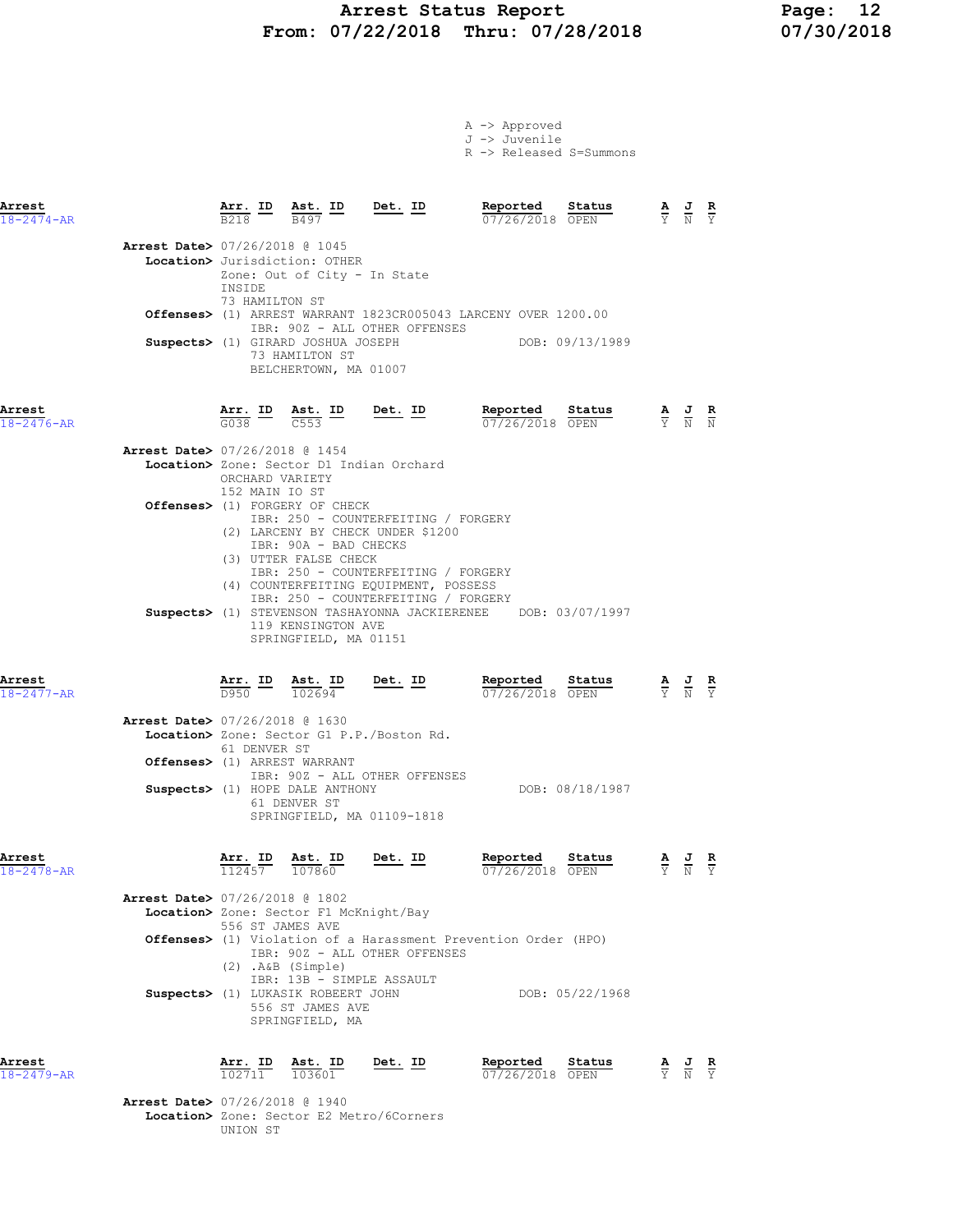## Arrest Status Report Page: 12 From: 07/22/2018 Thru: 07/28/2018 07/30/2018

| A -> Approved |                                    |
|---------------|------------------------------------|
| J -> Juvenile |                                    |
|               | $R \rightarrow$ Released S=Summons |

| Arrest<br>$18 - 2474 - AR$ |                                                                          |                                                                                                   | $\frac{\text{Arr.}}{\text{B218}}$ ID $\frac{\text{Ast.}}{\text{B497}}$ ID Det. ID                        |                                                                                                                                                                                                 |                                                                          | <b>Reported Status</b> $\frac{A}{V}$ <b>J R</b><br>$\frac{B}{V}$ $\frac{J}{N}$ <b>R</b> |                                                                                                       |  |
|----------------------------|--------------------------------------------------------------------------|---------------------------------------------------------------------------------------------------|----------------------------------------------------------------------------------------------------------|-------------------------------------------------------------------------------------------------------------------------------------------------------------------------------------------------|--------------------------------------------------------------------------|-----------------------------------------------------------------------------------------|-------------------------------------------------------------------------------------------------------|--|
|                            | Arrest Date> 07/26/2018 @ 1045                                           | INSIDE<br>73 HAMILTON ST                                                                          | Location> Jurisdiction: OTHER<br>Zone: Out of City - In State<br>73 HAMILTON ST<br>BELCHERTOWN, MA 01007 | IBR: 90Z - ALL OTHER OFFENSES<br>Suspects> (1) GIRARD JOSHUA JOSEPH                                                                                                                             | Offenses> (1) ARREST WARRANT 1823CR005043 LARCENY OVER 1200.00           | DOB: 09/13/1989                                                                         |                                                                                                       |  |
| Arrest<br>$18 - 2476 - AR$ |                                                                          | $\frac{\text{Arr.}}{\text{G038}}$ $\frac{\text{ID}}{\text{C553}}$ $\frac{\text{In}}{\text{C553}}$ |                                                                                                          | <u>Det. ID</u>                                                                                                                                                                                  | Reported<br>07/26/2018 OPEN                                              | Status                                                                                  | $\frac{\mathbf{A}}{\overline{Y}}$ $\frac{\mathbf{J}}{\overline{N}}$ $\frac{\mathbf{R}}{\overline{N}}$ |  |
|                            | <b>Arrest Date&gt; 07/26/2018 @ 1454</b>                                 | ORCHARD VARIETY<br>152 MAIN IO ST                                                                 |                                                                                                          | Location> Zone: Sector D1 Indian Orchard                                                                                                                                                        |                                                                          |                                                                                         |                                                                                                       |  |
|                            |                                                                          |                                                                                                   | Offenses> (1) FORGERY OF CHECK<br>IBR: 90A - BAD CHECKS<br>(3) UTTER FALSE CHECK                         | IBR: 250 - COUNTERFEITING / FORGERY<br>(2) LARCENY BY CHECK UNDER \$1200<br>IBR: 250 - COUNTERFEITING / FORGERY<br>(4) COUNTERFEITING EQUIPMENT, POSSESS<br>IBR: 250 - COUNTERFEITING / FORGERY |                                                                          |                                                                                         |                                                                                                       |  |
|                            |                                                                          |                                                                                                   | 119 KENSINGTON AVE<br>SPRINGFIELD, MA 01151                                                              |                                                                                                                                                                                                 | Suspects> (1) STEVENSON TASHAYONNA JACKIERENEE DOB: 03/07/1997           |                                                                                         |                                                                                                       |  |
| Arrest<br>$18 - 2477 - AR$ |                                                                          |                                                                                                   | $\frac{\texttt{Arr.}}{D950}$ $\frac{\texttt{Ab.}}{102694}$                                               | Det. ID                                                                                                                                                                                         | Reported<br>07/26/2018 OPEN                                              | Status                                                                                  | $\frac{\mathbf{A}}{\mathbf{Y}}$ $\frac{\mathbf{J}}{\mathbf{N}}$ $\frac{\mathbf{R}}{\mathbf{Y}}$       |  |
|                            | <b>Arrest Date&gt; 07/26/2018 @ 1630</b><br>Offenses> (1) ARREST WARRANT | 61 DENVER ST                                                                                      |                                                                                                          | Location> Zone: Sector G1 P.P./Boston Rd.                                                                                                                                                       |                                                                          |                                                                                         |                                                                                                       |  |
|                            |                                                                          |                                                                                                   | Suspects> (1) HOPE DALE ANTHONY<br>61 DENVER ST                                                          | IBR: 90Z - ALL OTHER OFFENSES<br>SPRINGFIELD, MA 01109-1818                                                                                                                                     |                                                                          | DOB: 08/18/1987                                                                         |                                                                                                       |  |
| Arrest<br>18-2478-AR       |                                                                          | Arr. ID<br>112457 107860                                                                          | Ast. ID                                                                                                  | Det. ID                                                                                                                                                                                         | Reported<br>07/26/2018 OPEN                                              | Status                                                                                  | $\frac{\mathbf{A}}{\overline{Y}}$ $\frac{\mathbf{J}}{\overline{N}}$ $\frac{\mathbf{R}}{\overline{Y}}$ |  |
|                            | <b>Arrest Date&gt; 07/26/2018 @ 1802</b>                                 | 556 ST JAMES AVE                                                                                  | Location> Zone: Sector F1 McKnight/Bay                                                                   |                                                                                                                                                                                                 | <b>Offenses&gt;</b> (1) Violation of a Harassment Prevention Order (HPO) |                                                                                         |                                                                                                       |  |
|                            |                                                                          | $(2)$ . A&B $(Simple)$                                                                            | IBR: 13B - SIMPLE ASSAULT<br>Suspects> (1) LUKASIK ROBEERT JOHN<br>556 ST JAMES AVE                      | IBR: 90Z - ALL OTHER OFFENSES                                                                                                                                                                   |                                                                          | DOB: 05/22/1968                                                                         |                                                                                                       |  |
| Arrest<br>$18 - 2479 - AR$ |                                                                          | Arr. ID Ast. ID<br>$\frac{102711}{}$                                                              | SPRINGFIELD, MA<br>103601                                                                                | Det. ID                                                                                                                                                                                         | Reported<br>07/26/2018 OPEN                                              | Status                                                                                  | $\frac{\mathbf{A}}{\mathbf{Y}}$ $\frac{\mathbf{J}}{\mathbf{N}}$ $\frac{\mathbf{R}}{\mathbf{Y}}$       |  |
|                            | <b>Arrest Date&gt; 07/26/2018 @ 1940</b>                                 | UNION ST                                                                                          |                                                                                                          | Location> Zone: Sector E2 Metro/6Corners                                                                                                                                                        |                                                                          |                                                                                         |                                                                                                       |  |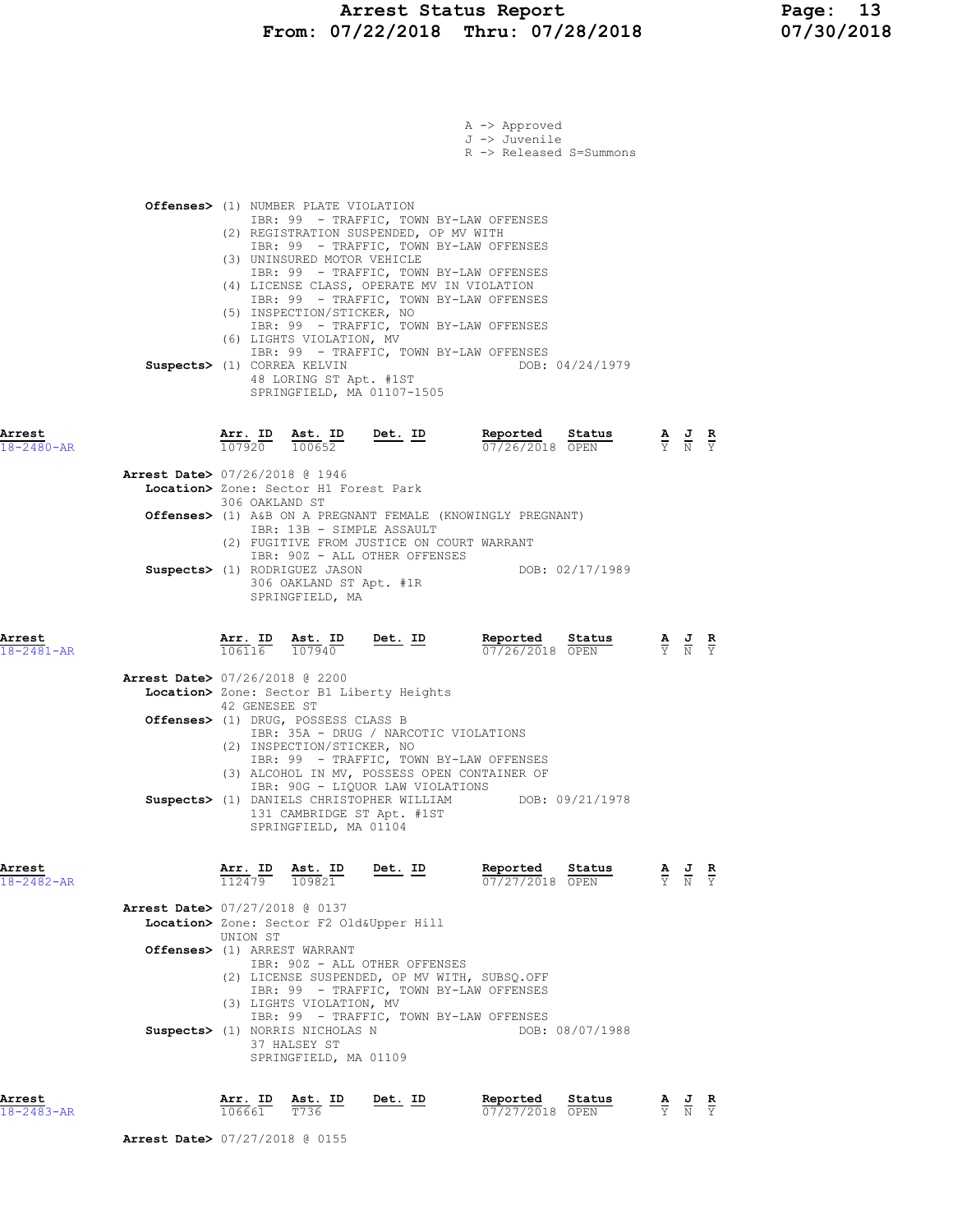# Arrest Status Report Page: 13 From: 07/22/2018 Thru: 07/28/2018 07/30/2018

|                                |                                                            |                                                                                                                 |                                                                                                             | A -> Approved<br>J -> Juvenile<br>R -> Released S=Summons                                                                                                                                                           |                 |                                                                                                       |  |
|--------------------------------|------------------------------------------------------------|-----------------------------------------------------------------------------------------------------------------|-------------------------------------------------------------------------------------------------------------|---------------------------------------------------------------------------------------------------------------------------------------------------------------------------------------------------------------------|-----------------|-------------------------------------------------------------------------------------------------------|--|
|                                |                                                            | <b>Offenses&gt;</b> (1) NUMBER PLATE VIOLATION                                                                  | (2) REGISTRATION SUSPENDED, OP MV WITH                                                                      | IBR: 99 - TRAFFIC, TOWN BY-LAW OFFENSES                                                                                                                                                                             |                 |                                                                                                       |  |
| Suspects> (1) CORREA KELVIN    |                                                            | (3) UNINSURED MOTOR VEHICLE<br>(5) INSPECTION/STICKER, NO<br>(6) LIGHTS VIOLATION, MV<br>48 LORING ST Apt. #1ST | (4) LICENSE CLASS, OPERATE MV IN VIOLATION<br>SPRINGFIELD, MA 01107-1505                                    | IBR: 99 - TRAFFIC, TOWN BY-LAW OFFENSES<br>IBR: 99 - TRAFFIC, TOWN BY-LAW OFFENSES<br>IBR: 99 - TRAFFIC, TOWN BY-LAW OFFENSES<br>IBR: 99 - TRAFFIC, TOWN BY-LAW OFFENSES<br>IBR: 99 - TRAFFIC, TOWN BY-LAW OFFENSES | DOB: 04/24/1979 |                                                                                                       |  |
| Arrest<br>$18 - 2480 - AR$     | Arr. ID Ast. ID<br>$\overline{107920}$ $\overline{100652}$ |                                                                                                                 | Det. ID                                                                                                     | Reported<br>07/26/2018 OPEN                                                                                                                                                                                         | Status          | $\frac{\mathbf{A}}{\mathbf{Y}}$ $\frac{\mathbf{J}}{\mathbf{N}}$ $\frac{\mathbf{R}}{\mathbf{Y}}$       |  |
| Arrest Date> 07/26/2018 @ 1946 |                                                            | Location> Zone: Sector H1 Forest Park                                                                           |                                                                                                             |                                                                                                                                                                                                                     |                 |                                                                                                       |  |
|                                | 306 OAKLAND ST                                             | IBR: 13B - SIMPLE ASSAULT                                                                                       | (2) FUGITIVE FROM JUSTICE ON COURT WARRANT                                                                  | Offenses> (1) A&B ON A PREGNANT FEMALE (KNOWINGLY PREGNANT)                                                                                                                                                         |                 |                                                                                                       |  |
|                                |                                                            | Suspects> (1) RODRIGUEZ JASON<br>306 OAKLAND ST Apt. #1R<br>SPRINGFIELD, MA                                     | IBR: 90Z - ALL OTHER OFFENSES                                                                               | DOB: 02/17/1989                                                                                                                                                                                                     |                 |                                                                                                       |  |
| Arrest<br>$18 - 2481 - AR$     | Arr. ID<br>106116 107940                                   | Ast. ID                                                                                                         | Det. ID                                                                                                     | Reported<br>07/26/2018 OPEN                                                                                                                                                                                         | Status          | $\frac{\mathbf{A}}{\overline{Y}}$ $\frac{\mathbf{J}}{\overline{N}}$ $\frac{\mathbf{R}}{\overline{Y}}$ |  |
| Arrest Date> 07/26/2018 @ 2200 |                                                            |                                                                                                                 | Location> Zone: Sector B1 Liberty Heights                                                                   |                                                                                                                                                                                                                     |                 |                                                                                                       |  |
|                                | 42 GENESEE ST                                              | Offenses> (1) DRUG, POSSESS CLASS B<br>(2) INSPECTION/STICKER, NO                                               | IBR: 35A - DRUG / NARCOTIC VIOLATIONS                                                                       |                                                                                                                                                                                                                     |                 |                                                                                                       |  |
|                                |                                                            |                                                                                                                 | IBR: 90G - LIQUOR LAW VIOLATIONS<br>Suspects> (1) DANIELS CHRISTOPHER WILLIAM<br>131 CAMBRIDGE ST Apt. #1ST | IBR: 99 - TRAFFIC, TOWN BY-LAW OFFENSES<br>(3) ALCOHOL IN MV, POSSESS OPEN CONTAINER OF<br>DOB: 09/21/1978                                                                                                          |                 |                                                                                                       |  |
| Arrest                         |                                                            | SPRINGFIELD, MA 01104                                                                                           |                                                                                                             | Reported                                                                                                                                                                                                            | Status          |                                                                                                       |  |
| 18-2482-AR                     | $\frac{\texttt{Arr.}}{112479}$                             | $\frac{\text{Ast. ID}}{109821}$                                                                                 | <u>Det. ID</u>                                                                                              | 07/27/2018 OPEN                                                                                                                                                                                                     |                 | $\frac{\mathbf{A}}{\mathbf{Y}}$ $\frac{\mathbf{J}}{\mathbf{N}}$ $\frac{\mathbf{R}}{\mathbf{Y}}$       |  |
| Arrest Date> 07/27/2018 @ 0137 | UNION ST                                                   |                                                                                                                 | Location> Zone: Sector F2 Old&Upper Hill                                                                    |                                                                                                                                                                                                                     |                 |                                                                                                       |  |
| Offenses> (1) ARREST WARRANT   |                                                            |                                                                                                                 | IBR: 90Z - ALL OTHER OFFENSES                                                                               | (2) LICENSE SUSPENDED, OP MV WITH, SUBSQ.OFF                                                                                                                                                                        |                 |                                                                                                       |  |
|                                |                                                            | (3) LIGHTS VIOLATION, MV<br>Suspects> (1) NORRIS NICHOLAS N<br>37 HALSEY ST<br>SPRINGFIELD, MA 01109            |                                                                                                             | IBR: 99 - TRAFFIC, TOWN BY-LAW OFFENSES<br>IBR: 99 - TRAFFIC, TOWN BY-LAW OFFENSES                                                                                                                                  | DOB: 08/07/1988 |                                                                                                       |  |
| Arrest<br>$18 - 2483 - AR$     | <u>Arr. ID</u><br>106661                                   | <u>Ast. ID</u><br>T736                                                                                          | <u>Det. ID</u>                                                                                              | Reported<br>07/27/2018 OPEN                                                                                                                                                                                         | Status          | $\frac{\mathbf{A}}{\mathbf{Y}}$ $\frac{\mathbf{J}}{\mathbf{N}}$ $\frac{\mathbf{R}}{\mathbf{Y}}$       |  |

Arrest Date> 07/27/2018 @ 0155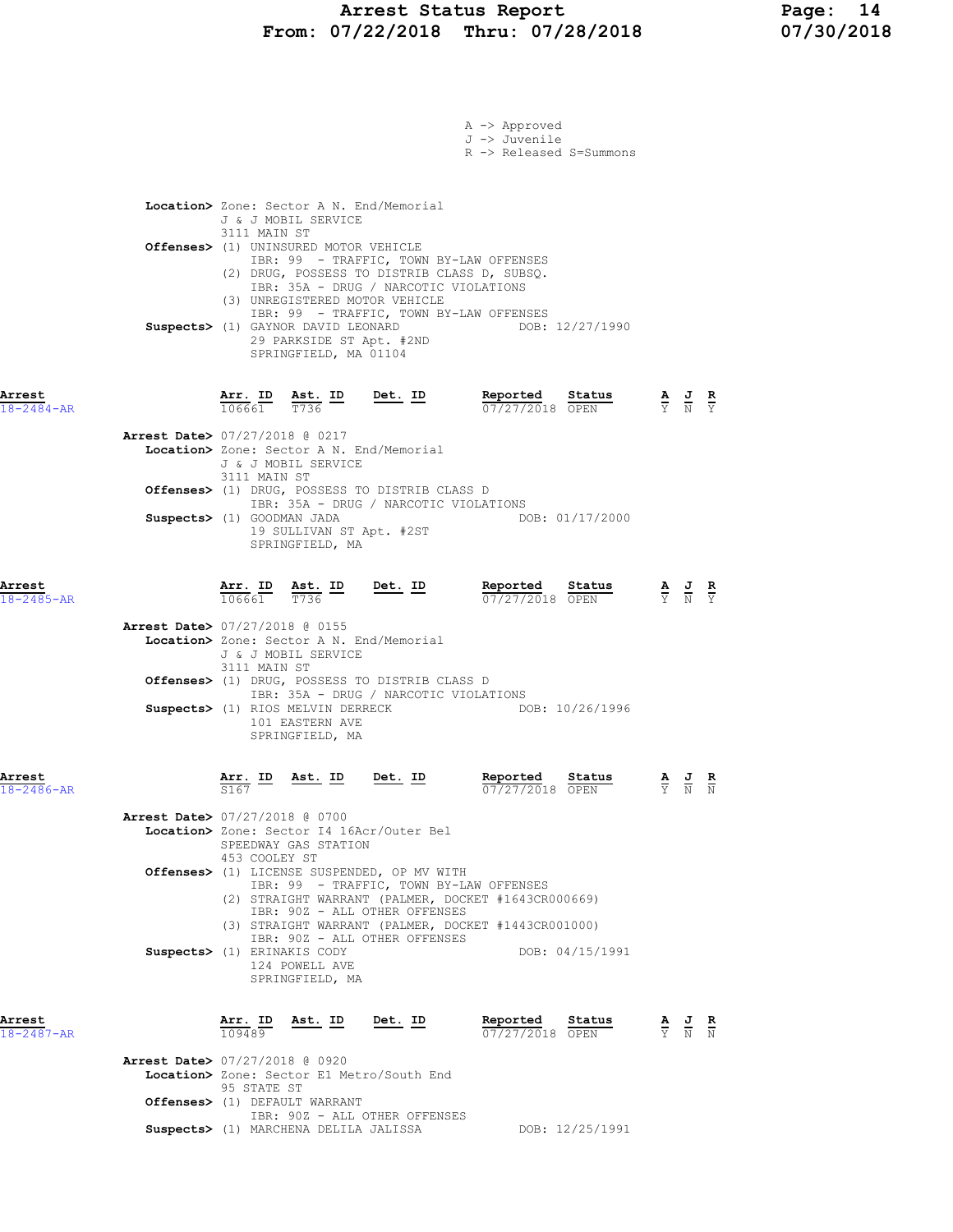|                            |                                                                                                                                                                                                                                                                                                          |                | A -> Approved                            |                                                                                                 |                                                                                                 |  |
|----------------------------|----------------------------------------------------------------------------------------------------------------------------------------------------------------------------------------------------------------------------------------------------------------------------------------------------------|----------------|------------------------------------------|-------------------------------------------------------------------------------------------------|-------------------------------------------------------------------------------------------------|--|
|                            |                                                                                                                                                                                                                                                                                                          |                | J -> Juvenile<br>R -> Released S=Summons |                                                                                                 |                                                                                                 |  |
|                            |                                                                                                                                                                                                                                                                                                          |                |                                          |                                                                                                 |                                                                                                 |  |
|                            | Location> Zone: Sector A N. End/Memorial<br>J & J MOBIL SERVICE                                                                                                                                                                                                                                          |                |                                          |                                                                                                 |                                                                                                 |  |
|                            | 3111 MAIN ST<br>Offenses> (1) UNINSURED MOTOR VEHICLE                                                                                                                                                                                                                                                    |                |                                          |                                                                                                 |                                                                                                 |  |
|                            | IBR: 99 - TRAFFIC, TOWN BY-LAW OFFENSES<br>(2) DRUG, POSSESS TO DISTRIB CLASS D, SUBSQ.<br>IBR: 35A - DRUG / NARCOTIC VIOLATIONS<br>(3) UNREGISTERED MOTOR VEHICLE<br>IBR: 99 - TRAFFIC, TOWN BY-LAW OFFENSES<br>Suspects> (1) GAYNOR DAVID LEONARD<br>29 PARKSIDE ST Apt. #2ND<br>SPRINGFIELD, MA 01104 |                | DOB: 12/27/1990                          |                                                                                                 |                                                                                                 |  |
| Arrest<br>$18 - 2484 - AR$ | $\overline{\text{Arr.}}$ ID Ast. ID Det. ID<br>106661<br>$T\overline{736}$                                                                                                                                                                                                                               |                | Reported Status<br>07/27/2018 OPEN       |                                                                                                 | $\frac{\mathbf{A}}{\mathbf{Y}}$ $\frac{\mathbf{J}}{\mathbf{N}}$ $\frac{\mathbf{R}}{\mathbf{Y}}$ |  |
|                            | <b>Arrest Date&gt; 07/27/2018 @ 0217</b>                                                                                                                                                                                                                                                                 |                |                                          |                                                                                                 |                                                                                                 |  |
|                            | Location> Zone: Sector A N. End/Memorial<br>J & J MOBIL SERVICE<br>3111 MAIN ST                                                                                                                                                                                                                          |                |                                          |                                                                                                 |                                                                                                 |  |
|                            | Offenses> (1) DRUG, POSSESS TO DISTRIB CLASS D<br>IBR: 35A - DRUG / NARCOTIC VIOLATIONS                                                                                                                                                                                                                  |                |                                          |                                                                                                 |                                                                                                 |  |
|                            | Suspects> (1) GOODMAN JADA<br>19 SULLIVAN ST Apt. #2ST<br>SPRINGFIELD, MA                                                                                                                                                                                                                                |                | DOB: 01/17/2000                          |                                                                                                 |                                                                                                 |  |
| Arrest<br>$18 - 2485 - AR$ | $\frac{\texttt{Arr.}}{106661}$ $\frac{\texttt{ Ast.}}{T736}$ $\frac{\texttt{ID}}{T}$                                                                                                                                                                                                                     | <u>Det. ID</u> | Reported<br>Status<br>07/27/2018 OPEN    |                                                                                                 | $\frac{\mathbf{A}}{\mathbf{Y}}$ $\frac{\mathbf{J}}{\mathbf{N}}$ $\frac{\mathbf{R}}{\mathbf{Y}}$ |  |
|                            | Arrest Date> 07/27/2018 @ 0155<br>Location> Zone: Sector A N. End/Memorial<br>J & J MOBIL SERVICE<br>3111 MAIN ST                                                                                                                                                                                        |                |                                          |                                                                                                 |                                                                                                 |  |
|                            | Offenses> (1) DRUG, POSSESS TO DISTRIB CLASS D                                                                                                                                                                                                                                                           |                |                                          |                                                                                                 |                                                                                                 |  |
|                            | IBR: 35A - DRUG / NARCOTIC VIOLATIONS<br>Suspects> (1) RIOS MELVIN DERRECK<br>101 EASTERN AVE<br>SPRINGFIELD, MA                                                                                                                                                                                         |                | DOB: 10/26/1996                          |                                                                                                 |                                                                                                 |  |
| Arrest<br>18-2486-AR       | <u>Arr. ID</u><br><u>Ast. ID</u><br>S167                                                                                                                                                                                                                                                                 | Det. ID        | Reported<br>Status<br>07/27/2018 OPEN    |                                                                                                 | <u>AJR</u><br>Y N N                                                                             |  |
|                            | <b>Arrest Date&gt; 07/27/2018 @ 0700</b><br>Location> Zone: Sector I4 16Acr/Outer Bel<br>SPEEDWAY GAS STATION<br>453 COOLEY ST                                                                                                                                                                           |                |                                          |                                                                                                 |                                                                                                 |  |
|                            | Offenses> (1) LICENSE SUSPENDED, OP MV WITH<br>IBR: 99 - TRAFFIC, TOWN BY-LAW OFFENSES                                                                                                                                                                                                                   |                |                                          |                                                                                                 |                                                                                                 |  |
|                            | (2) STRAIGHT WARRANT (PALMER, DOCKET #1643CR000669)<br>IBR: 90Z - ALL OTHER OFFENSES                                                                                                                                                                                                                     |                |                                          |                                                                                                 |                                                                                                 |  |
|                            | (3) STRAIGHT WARRANT (PALMER, DOCKET #1443CR001000)<br>IBR: 90Z - ALL OTHER OFFENSES                                                                                                                                                                                                                     |                |                                          |                                                                                                 |                                                                                                 |  |
|                            | Suspects> (1) ERINAKIS CODY<br>124 POWELL AVE<br>SPRINGFIELD, MA                                                                                                                                                                                                                                         |                | DOB: 04/15/1991                          |                                                                                                 |                                                                                                 |  |
| Arrest<br>18-2487-AR       | Arr. ID Ast. ID<br>109489                                                                                                                                                                                                                                                                                | <u>Det. ID</u> | Reported<br>Status<br>07/27/2018 OPEN    | $\frac{\mathbf{A}}{\mathbf{Y}}$ $\frac{\mathbf{J}}{\mathbf{N}}$ $\frac{\mathbf{R}}{\mathbf{N}}$ |                                                                                                 |  |
|                            | <b>Arrest Date&gt; 07/27/2018 @ 0920</b><br>Location> Zone: Sector E1 Metro/South End                                                                                                                                                                                                                    |                |                                          |                                                                                                 |                                                                                                 |  |
|                            | 95 STATE ST<br>Offenses> (1) DEFAULT WARRANT                                                                                                                                                                                                                                                             |                |                                          |                                                                                                 |                                                                                                 |  |
|                            | IBR: 90Z - ALL OTHER OFFENSES<br>Suspects> (1) MARCHENA DELILA JALISSA                                                                                                                                                                                                                                   |                | DOB: 12/25/1991                          |                                                                                                 |                                                                                                 |  |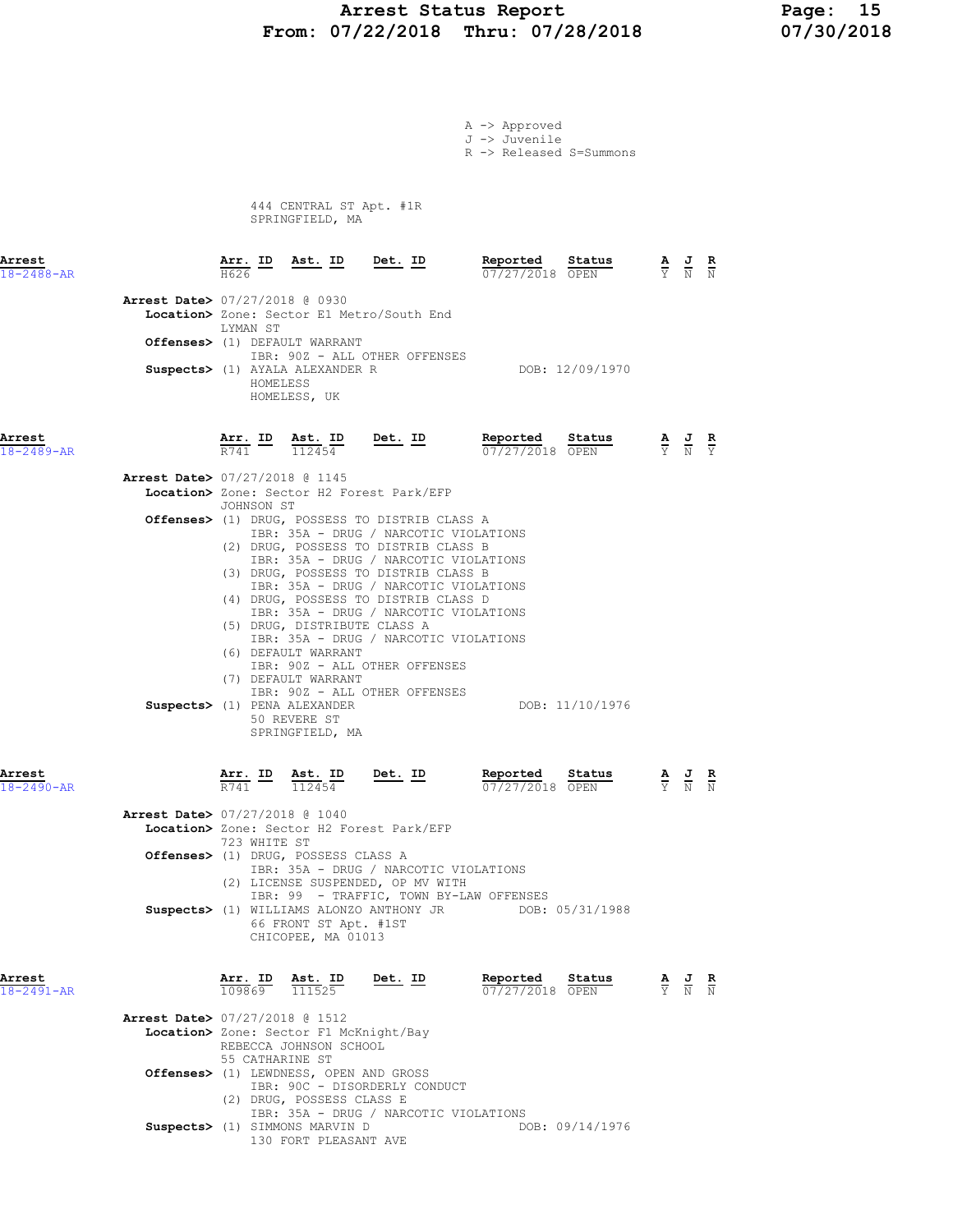# Arrest Status Report Page: 15 From: 07/22/2018 Thru: 07/28/2018 07/30/2018

|                                                                             |                     |          |                                                            |                |                                                                                                                        | A -> Approved<br>J -> Juvenile<br>R -> Released S=Summons                                           |                 |                                                                                                 |               |
|-----------------------------------------------------------------------------|---------------------|----------|------------------------------------------------------------|----------------|------------------------------------------------------------------------------------------------------------------------|-----------------------------------------------------------------------------------------------------|-----------------|-------------------------------------------------------------------------------------------------|---------------|
|                                                                             |                     |          | 444 CENTRAL ST Apt. #1R<br>SPRINGFIELD, MA                 |                |                                                                                                                        |                                                                                                     |                 |                                                                                                 |               |
| Arrest<br>$18 - 2488 - AR$                                                  | H626                |          | <u>Arr. ID Ast. ID Det. ID</u>                             |                |                                                                                                                        | Reported<br>07/27/2018 OPEN                                                                         | Status          | $\frac{\mathbf{A}}{\mathbf{Y}}$ $\frac{\mathbf{J}}{\mathbf{N}}$ $\frac{\mathbf{R}}{\mathbf{N}}$ |               |
| Arrest Date> 07/27/2018 @ 0930<br>Location> Zone: Sector E1 Metro/South End |                     |          |                                                            |                |                                                                                                                        |                                                                                                     |                 |                                                                                                 |               |
| Offenses> (1) DEFAULT WARRANT                                               | LYMAN ST            |          |                                                            |                |                                                                                                                        |                                                                                                     |                 |                                                                                                 |               |
| Suspects> (1) AYALA ALEXANDER R                                             |                     | HOMELESS | IBR: 90Z - ALL OTHER OFFENSES<br>HOMELESS, UK              |                |                                                                                                                        |                                                                                                     | DOB: 12/09/1970 |                                                                                                 |               |
| Arrest<br>$18 - 2489 - AR$                                                  | Arr. ID<br>R741     |          | Ast. ID<br>112454                                          | <u>Det. ID</u> |                                                                                                                        | Reported<br>07/27/2018 OPEN                                                                         | Status          | $\frac{\mathbf{A}}{\mathbf{Y}}$ $\frac{\mathbf{J}}{\mathbf{N}}$ $\frac{\mathbf{R}}{\mathbf{Y}}$ |               |
| Arrest Date> 07/27/2018 @ 1145<br>Location> Zone: Sector H2 Forest Park/EFP |                     |          |                                                            |                |                                                                                                                        |                                                                                                     |                 |                                                                                                 |               |
| Offenses> (1) DRUG, POSSESS TO DISTRIB CLASS A                              | JOHNSON ST          |          |                                                            |                |                                                                                                                        |                                                                                                     |                 |                                                                                                 |               |
|                                                                             |                     |          |                                                            |                | IBR: 35A - DRUG / NARCOTIC VIOLATIONS<br>(2) DRUG, POSSESS TO DISTRIB CLASS B                                          |                                                                                                     |                 |                                                                                                 |               |
|                                                                             |                     |          |                                                            |                | IBR: 35A - DRUG / NARCOTIC VIOLATIONS<br>(3) DRUG, POSSESS TO DISTRIB CLASS B<br>IBR: 35A - DRUG / NARCOTIC VIOLATIONS |                                                                                                     |                 |                                                                                                 |               |
|                                                                             |                     |          |                                                            |                | (4) DRUG, POSSESS TO DISTRIB CLASS D<br>IBR: 35A - DRUG / NARCOTIC VIOLATIONS                                          |                                                                                                     |                 |                                                                                                 |               |
|                                                                             |                     |          | (5) DRUG, DISTRIBUTE CLASS A                               |                | IBR: 35A - DRUG / NARCOTIC VIOLATIONS                                                                                  |                                                                                                     |                 |                                                                                                 |               |
|                                                                             |                     |          | (6) DEFAULT WARRANT<br>IBR: 90Z - ALL OTHER OFFENSES       |                |                                                                                                                        |                                                                                                     |                 |                                                                                                 |               |
|                                                                             |                     |          | (7) DEFAULT WARRANT<br>IBR: 90Z - ALL OTHER OFFENSES       |                |                                                                                                                        |                                                                                                     |                 |                                                                                                 |               |
| Suspects> (1) PENA ALEXANDER                                                |                     |          | 50 REVERE ST<br>SPRINGFIELD, MA                            |                |                                                                                                                        |                                                                                                     | DOB: 11/10/1976 |                                                                                                 |               |
| Arrest<br>18-2490-AR                                                        | Arr. ID<br>R741     |          | Ast. ID<br>112454                                          | <u>Det. ID</u> |                                                                                                                        | Reported<br>07/27/2018 OPEN                                                                         | Status          | $\frac{\mathbf{A}}{\mathbf{Y}}$ $\frac{\mathbf{J}}{\mathbf{N}}$                                 | $\frac{R}{N}$ |
| <b>Arrest Date&gt; 07/27/2018 @ 1040</b>                                    |                     |          |                                                            |                |                                                                                                                        |                                                                                                     |                 |                                                                                                 |               |
| Location> Zone: Sector H2 Forest Park/EFP                                   | 723 WHITE ST        |          |                                                            |                |                                                                                                                        |                                                                                                     |                 |                                                                                                 |               |
| Offenses> (1) DRUG, POSSESS CLASS A                                         |                     |          | (2) LICENSE SUSPENDED, OP MV WITH                          |                | IBR: 35A - DRUG / NARCOTIC VIOLATIONS                                                                                  |                                                                                                     |                 |                                                                                                 |               |
|                                                                             |                     |          |                                                            |                |                                                                                                                        | IBR: 99 - TRAFFIC, TOWN BY-LAW OFFENSES<br>Suspects> (1) WILLIAMS ALONZO ANTHONY JR DOB: 05/31/1988 |                 |                                                                                                 |               |
|                                                                             |                     |          | 66 FRONT ST Apt. #1ST<br>CHICOPEE, MA 01013                |                |                                                                                                                        |                                                                                                     |                 |                                                                                                 |               |
| Arrest<br>$18 - 2491 - AR$                                                  | $Arr.$ ID<br>109869 |          | Ast. ID Det. ID<br>111525                                  |                |                                                                                                                        | Reported<br>07/27/2018 OPEN                                                                         | Status          | $\frac{\mathbf{A}}{\mathbf{Y}}$ $\frac{\mathbf{J}}{\mathbf{N}}$ $\frac{\mathbf{R}}{\mathbf{N}}$ |               |
| <b>Arrest Date&gt; 07/27/2018 @ 1512</b>                                    |                     |          |                                                            |                |                                                                                                                        |                                                                                                     |                 |                                                                                                 |               |
| Location> Zone: Sector F1 McKnight/Bay                                      | 55 CATHARINE ST     |          | REBECCA JOHNSON SCHOOL                                     |                |                                                                                                                        |                                                                                                     |                 |                                                                                                 |               |
| Offenses> (1) LEWDNESS, OPEN AND GROSS                                      |                     |          | IBR: 90C - DISORDERLY CONDUCT<br>(2) DRUG, POSSESS CLASS E |                | IBR: 35A - DRUG / NARCOTIC VIOLATIONS                                                                                  |                                                                                                     |                 |                                                                                                 |               |

Suspects> (1) SIMMONS MARVIN D DOB: 09/14/1976 130 FORT PLEASANT AVE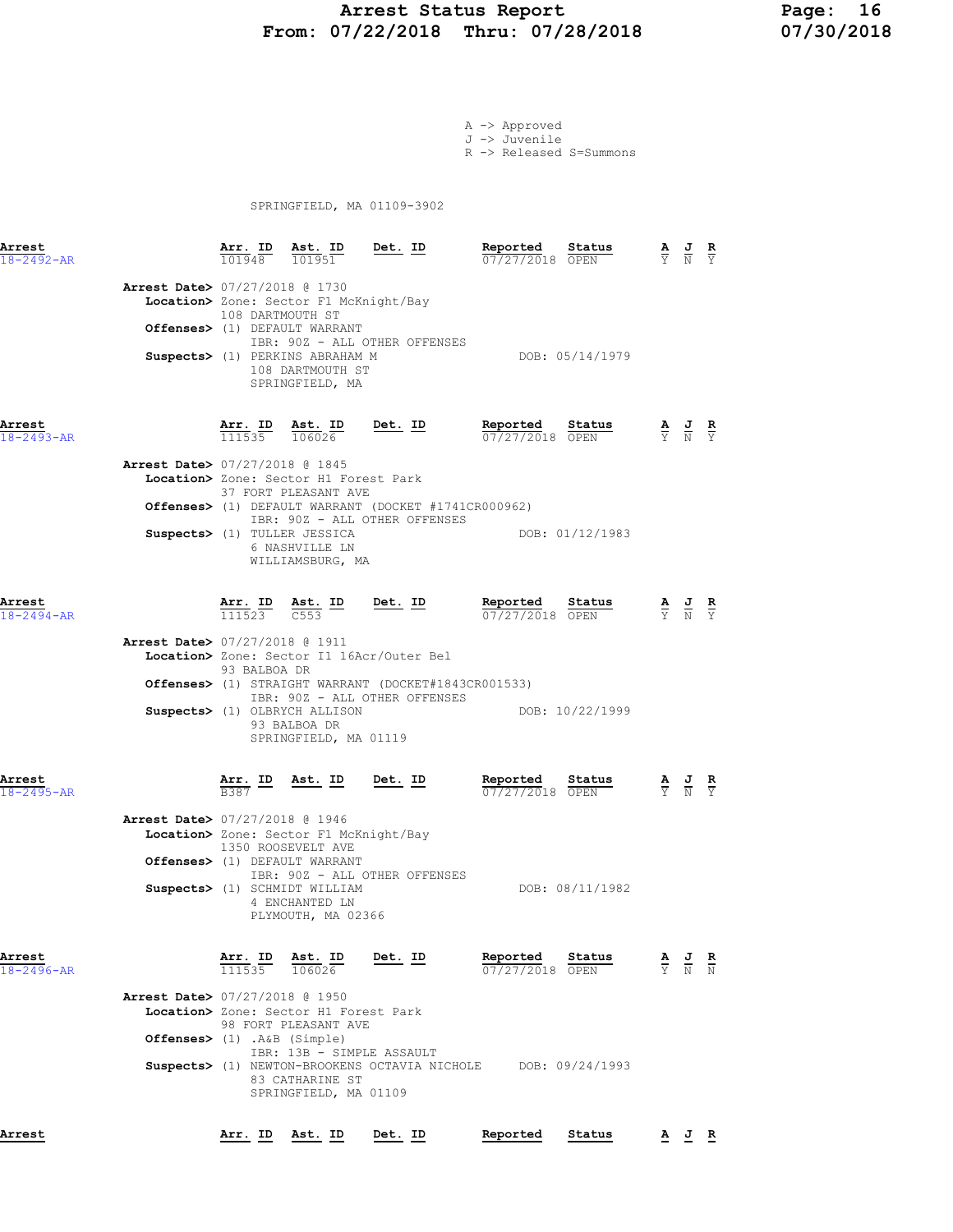# Arrest Status Report Page: 16 From: 07/22/2018 Thru: 07/28/2018 07/30/2018

A -> Approved J -> Juvenile

R -> Released S=Summons

SPRINGFIELD, MA 01109-3902

| Arrest<br>$18 - 2492 - AR$ |                                                                         |                  | $\frac{\texttt{Arr.}}{101948}$ $\frac{\texttt{ Ast.}}{101951}$ $\frac{\texttt{Det.}}{201951}$                                                                                                                                      |                                                                                                                                                                                                                                                                     | Reported Status                    | <b>Reported</b> Status $\frac{A}{07/27/2018}$ OPEN $\frac{A}{Y}$ $\frac{J}{N}$ $\frac{R}{Y}$                                 |  |  |
|----------------------------|-------------------------------------------------------------------------|------------------|------------------------------------------------------------------------------------------------------------------------------------------------------------------------------------------------------------------------------------|---------------------------------------------------------------------------------------------------------------------------------------------------------------------------------------------------------------------------------------------------------------------|------------------------------------|------------------------------------------------------------------------------------------------------------------------------|--|--|
|                            | <b>Arrest Date&gt; 07/27/2018 @ 1730</b>                                | 108 DARTMOUTH ST | Location> Zone: Sector F1 McKnight/Bay<br>Offenses> (1) DEFAULT WARRANT<br>Suspects> (1) PERKINS ABRAHAM M<br>108 DARTMOUTH ST<br>SPRINGFIELD, MA                                                                                  | IBR: 90Z - ALL OTHER OFFENSES                                                                                                                                                                                                                                       |                                    | DOB: 05/14/1979                                                                                                              |  |  |
| Arrest<br>$18 - 2493 - AR$ | Arrest Date> 07/27/2018 @ 1845                                          |                  | Location> Zone: Sector H1 Forest Park<br>37 FORT PLEASANT AVE<br>Suspects> (1) TULLER JESSICA<br>6 NASHVILLE LN<br>WILLIAMSBURG, MA                                                                                                | $\frac{\texttt{Arr. ID}}{111535}$ $\frac{\texttt{ Ast. ID}}{106026}$ Det. ID<br>Offenses> (1) DEFAULT WARRANT (DOCKET #1741CR000962)<br>IBR: 90Z - ALL OTHER OFFENSES                                                                                               | Reported Status<br>07/27/2018 OPEN | $\frac{\mathbf{A}}{\mathbf{Y}}$ $\frac{\mathbf{J}}{\mathbf{N}}$ $\frac{\mathbf{R}}{\mathbf{Y}}$<br>DOB: 01/12/1983           |  |  |
| Arrest<br>$18 - 2494 - AR$ | Arrest Date> 07/27/2018 @ 1911                                          | 93 BALBOA DR     | Suspects> (1) OLBRYCH ALLISON<br>93 BALBOA DR<br>SPRINGFIELD, MA 01119                                                                                                                                                             | $\frac{\texttt{Arr. ID}}{111523}$ $\frac{\texttt{ Ast. ID}}{C553}$ $\frac{\texttt{ID}}{2553}$ $\frac{\texttt{Det. ID}}{2553}$<br>Location> Zone: Sector I1 16Acr/Outer Bel<br>Offenses> (1) STRAIGHT WARRANT (DOCKET#1843CR001533)<br>IBR: 90Z - ALL OTHER OFFENSES | Reported Status<br>07/27/2018 OPEN | $\frac{\mathbf{A}}{\mathbf{Y}}$ $\frac{\mathbf{J}}{\mathbf{N}}$ $\frac{\mathbf{R}}{\mathbf{Y}}$<br>DOB: 10/22/1999           |  |  |
| Arrest<br>$18 - 2495 - AR$ | Arrest Date> 07/27/2018 @ 1946                                          |                  | $\frac{\texttt{Arr.}}{\texttt{B}387}$ ID Ast. ID Det. ID<br>Location> Zone: Sector F1 McKnight/Bay<br>1350 ROOSEVELT AVE<br>Offenses> (1) DEFAULT WARRANT<br>Suspects> (1) SCHMIDT WILLIAM<br>4 ENCHANTED LN<br>PLYMOUTH, MA 02366 | IBR: 90Z - ALL OTHER OFFENSES                                                                                                                                                                                                                                       | Reported<br>07/27/2018 OPEN        | Status<br>$\frac{\mathbf{A}}{\mathbf{Y}}$ $\frac{\mathbf{J}}{\mathbf{N}}$ $\frac{\mathbf{R}}{\mathbf{Y}}$<br>DOB: 08/11/1982 |  |  |
| Arrest<br>18-2496-AR       | <b>Arrest Date&gt; 07/27/2018 @ 1950</b><br>Offenses> (1) .A&B (Simple) |                  | <b><u>Arr. ID</u> Ast. ID Det. ID</b><br>$\frac{111535}{106026}$ <b>Det.</b> ID<br>Location> Zone: Sector H1 Forest Park<br>98 FORT PLEASANT AVE<br>IBR: 13B - SIMPLE ASSAULT<br>83 CATHARINE ST<br>SPRINGFIELD, MA 01109          | Suspects> (1) NEWTON-BROOKENS OCTAVIA NICHOLE DOB: 09/24/1993                                                                                                                                                                                                       | Reported                           | <b>Reported</b> Status $\frac{A}{07/27/2018}$ OPEN $\frac{A}{Y}$ $\frac{J}{N}$ R                                             |  |  |

Arrest Arr. ID Ast. ID Det. ID Reported Status A J R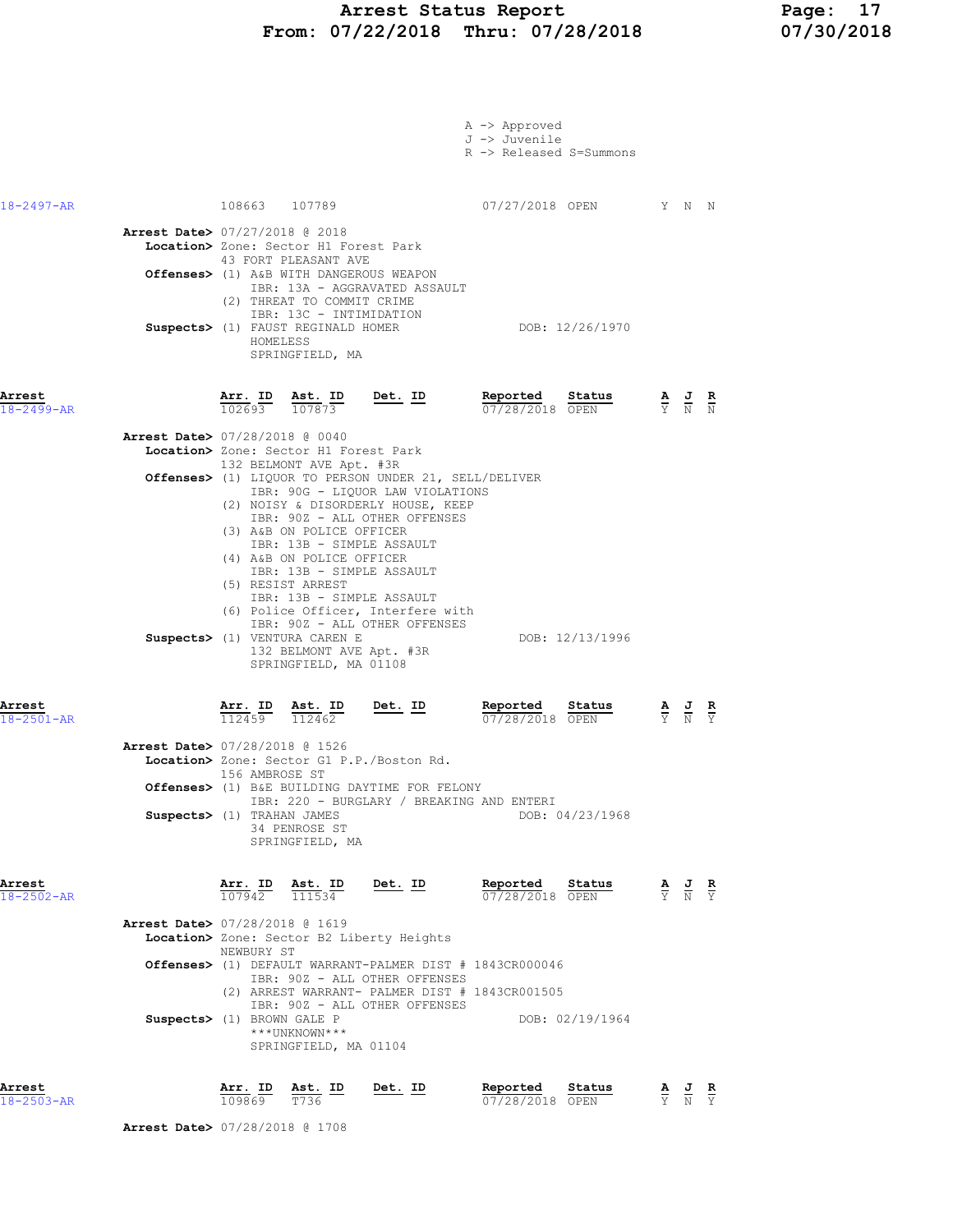## Arrest Status Report Page: 17 From: 07/22/2018 Thru: 07/28/2018 07/30/2018

|                            |                                                                                                                                                                                                                                                                                                                                                                                                                                                | A -> Approved<br>J -> Juvenile<br>R -> Released S=Summons |                                                                                                 |                                                                                                       |  |
|----------------------------|------------------------------------------------------------------------------------------------------------------------------------------------------------------------------------------------------------------------------------------------------------------------------------------------------------------------------------------------------------------------------------------------------------------------------------------------|-----------------------------------------------------------|-------------------------------------------------------------------------------------------------|-------------------------------------------------------------------------------------------------------|--|
| 18-2497-AR                 | 108663 107789<br>Arrest Date> 07/27/2018 @ 2018<br>Location> Zone: Sector H1 Forest Park<br>43 FORT PLEASANT AVE<br>Offenses> (1) A&B WITH DANGEROUS WEAPON                                                                                                                                                                                                                                                                                    | 07/27/2018 OPEN Y N N                                     |                                                                                                 |                                                                                                       |  |
|                            | IBR: 13A - AGGRAVATED ASSAULT<br>(2) THREAT TO COMMIT CRIME<br>IBR: 13C - INTIMIDATION<br>Suspects> (1) FAUST REGINALD HOMER<br>HOMELESS<br>SPRINGFIELD, MA                                                                                                                                                                                                                                                                                    | DOB: 12/26/1970                                           |                                                                                                 |                                                                                                       |  |
| Arrest<br>$18 - 2499 - AR$ | $\frac{\texttt{Arr. ID}}{102693}$ $\frac{\texttt{ Ast. ID}}{107873}$ Det. ID<br>Arrest Date> 07/28/2018 @ 0040<br>Location> Zone: Sector H1 Forest Park<br>132 BELMONT AVE Apt. #3R<br>Offenses> (1) LIQUOR TO PERSON UNDER 21, SELL/DELIVER<br>IBR: 90G - LIQUOR LAW VIOLATIONS<br>(2) NOISY & DISORDERLY HOUSE, KEEP<br>IBR: 902 - ALL OTHER OFFENSES<br>(3) A&B ON POLICE OFFICER<br>IBR: 13B - SIMPLE ASSAULT<br>(4) A&B ON POLICE OFFICER | Reported Status<br>$\frac{07}{28}/2018$ OPEN              |                                                                                                 | $\frac{\mathbf{A}}{\mathbf{Y}}$ $\frac{\mathbf{J}}{\mathbf{N}}$ $\frac{\mathbf{R}}{\mathbf{N}}$       |  |
| Arrest                     | IBR: 13B - SIMPLE ASSAULT<br>(5) RESIST ARREST<br>IBR: 13B - SIMPLE ASSAULT<br>(6) Police Officer, Interfere with<br>IBR: 90Z - ALL OTHER OFFENSES<br>Suspects> (1) VENTURA CAREN E<br>132 BELMONT AVE Apt. #3R<br>SPRINGFIELD, MA 01108<br><u>Det. ID</u><br>$\frac{\texttt{Arr.}}{112459}$<br><u>Ast. ID</u><br>112462                                                                                                                       | DOB: 12/13/1996<br>Reported Status<br>07/28/2018 OPEN     |                                                                                                 | $\frac{\mathbf{A}}{\overline{Y}}$ $\frac{\mathbf{J}}{\overline{N}}$ $\frac{\mathbf{R}}{\overline{Y}}$ |  |
| $18 - 2501 - AR$           | Arrest Date> 07/28/2018 @ 1526<br>Location> Zone: Sector G1 P.P./Boston Rd.<br>156 AMBROSE ST<br><b>Offenses&gt;</b> (1) B&E BUILDING DAYTIME FOR FELONY<br>IBR: 220 - BURGLARY / BREAKING AND ENTERI<br>Suspects> (1) TRAHAN JAMES<br>34 PENROSE ST<br>SPRINGFIELD, MA                                                                                                                                                                        | DOB: 04/23/1968                                           |                                                                                                 |                                                                                                       |  |
| Arrest<br>$18 - 2502 - AR$ | Arr. ID<br>Ast. ID<br><u>Det. ID</u><br>107942<br>111534<br><b>Arrest Date&gt; 07/28/2018 @ 1619</b><br>Location> Zone: Sector B2 Liberty Heights<br>NEWBURY ST<br>Offenses> (1) DEFAULT WARRANT-PALMER DIST # 1843CR000046<br>IBR: 90Z - ALL OTHER OFFENSES<br>(2) ARREST WARRANT- PALMER DIST # 1843CR001505<br>IBR: 90Z - ALL OTHER OFFENSES<br>Suspects> (1) BROWN GALE P<br>***UNKNOWN***<br>SPRINGFIELD, MA 01104                        | Reported<br>Status<br>07/28/2018 OPEN<br>DOB: 02/19/1964  | $\frac{\mathbf{A}}{\mathbf{Y}}$ $\frac{\mathbf{J}}{\mathbf{N}}$ $\frac{\mathbf{R}}{\mathbf{Y}}$ |                                                                                                       |  |
| Arrest                     | Arr. ID Ast. ID<br>Det. ID                                                                                                                                                                                                                                                                                                                                                                                                                     | Reported<br>Status                                        |                                                                                                 | AJ R                                                                                                  |  |

| Arrest     | AII. ID | AST. ID | Det. ID | <b>Reported</b> | status | <b>AUK</b> |  |
|------------|---------|---------|---------|-----------------|--------|------------|--|
| 18-2503-AR | 109869  | T736    |         | 07/28/2018 OPEN |        | Y N Y      |  |

Arrest Date> 07/28/2018 @ 1708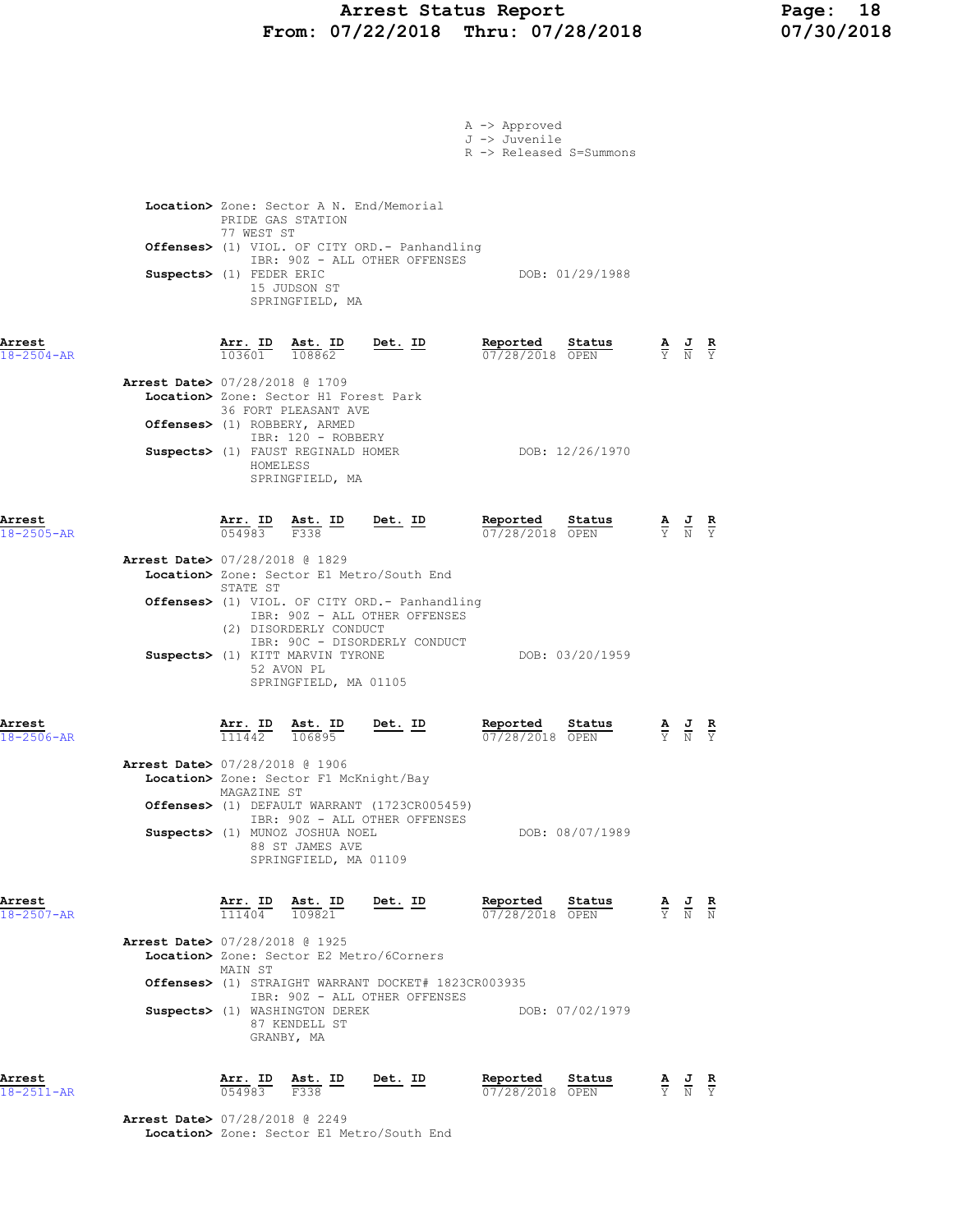# Arrest Status Report Page: 18<br>07/22/2018 Thru: 07/28/2018 07/30/2018 From:  $07/22/2018$  Thru:  $07/28/2018$

|                            |                                          |                                                                                             |                                                                             |                                                                                                | A -> Approved<br>J -> Juvenile | R -> Released S=Summons |                                                                                                 |                                                                                                 |  |
|----------------------------|------------------------------------------|---------------------------------------------------------------------------------------------|-----------------------------------------------------------------------------|------------------------------------------------------------------------------------------------|--------------------------------|-------------------------|-------------------------------------------------------------------------------------------------|-------------------------------------------------------------------------------------------------|--|
|                            |                                          |                                                                                             | PRIDE GAS STATION                                                           | Location> Zone: Sector A N. End/Memorial                                                       |                                |                         |                                                                                                 |                                                                                                 |  |
|                            |                                          | 77 WEST ST                                                                                  |                                                                             | Offenses> (1) VIOL. OF CITY ORD.- Panhandling                                                  |                                |                         |                                                                                                 |                                                                                                 |  |
|                            | Suspects> (1) FEDER ERIC                 |                                                                                             | 15 JUDSON ST<br>SPRINGFIELD, MA                                             | IBR: 90Z - ALL OTHER OFFENSES                                                                  | DOB: 01/29/1988                |                         |                                                                                                 |                                                                                                 |  |
| Arrest<br>$18 - 2504 - AR$ |                                          | 103601                                                                                      | $\frac{\text{Arr}}{\text{cos} \theta}$ ID Ast. ID<br>108862                 | $Det. ID$                                                                                      | Reported<br>07/28/2018 OPEN    | Status                  |                                                                                                 | $\frac{\mathbf{A}}{\mathbf{Y}}$ $\frac{\mathbf{J}}{\mathbf{N}}$ $\frac{\mathbf{R}}{\mathbf{Y}}$ |  |
|                            | <b>Arrest Date&gt; 07/28/2018 @ 1709</b> |                                                                                             | Location> Zone: Sector H1 Forest Park<br>36 FORT PLEASANT AVE               |                                                                                                |                                |                         |                                                                                                 |                                                                                                 |  |
|                            | Offenses> (1) ROBBERY, ARMED             |                                                                                             | IBR: 120 - ROBBERY                                                          |                                                                                                |                                |                         |                                                                                                 |                                                                                                 |  |
|                            |                                          | HOMELESS                                                                                    | Suspects> (1) FAUST REGINALD HOMER<br>SPRINGFIELD, MA                       |                                                                                                |                                | DOB: 12/26/1970         |                                                                                                 |                                                                                                 |  |
| Arrest<br>$18 - 2505 - AR$ |                                          | $\frac{\text{Arr.}}{054983}$ $\frac{\text{dst.}}{\text{F}338}$ $\frac{\text{ID}}{\text{F}}$ |                                                                             | <u>Det. ID</u>                                                                                 | Reported<br>07/28/2018 OPEN    | Status                  |                                                                                                 | $\frac{\mathbf{A}}{\mathbf{Y}}$ $\frac{\mathbf{J}}{\mathbf{N}}$ $\frac{\mathbf{R}}{\mathbf{Y}}$ |  |
|                            | Arrest Date> 07/28/2018 @ 1829           | STATE ST                                                                                    |                                                                             | Location> Zone: Sector E1 Metro/South End                                                      |                                |                         |                                                                                                 |                                                                                                 |  |
|                            |                                          |                                                                                             |                                                                             | <b>Offenses&gt;</b> (1) VIOL. OF CITY ORD.- Panhandling<br>IBR: 90Z - ALL OTHER OFFENSES       |                                |                         |                                                                                                 |                                                                                                 |  |
|                            |                                          |                                                                                             | (2) DISORDERLY CONDUCT<br>Suspects> (1) KITT MARVIN TYRONE<br>52 AVON PL    | IBR: 90C - DISORDERLY CONDUCT                                                                  |                                | DOB: 03/20/1959         |                                                                                                 |                                                                                                 |  |
|                            |                                          |                                                                                             | SPRINGFIELD, MA 01105                                                       |                                                                                                |                                |                         |                                                                                                 |                                                                                                 |  |
| Arrest<br>$18 - 2506 - AR$ |                                          | Arr. ID<br>111442                                                                           | Ast. ID<br>106895                                                           | $Det. ID$                                                                                      | Reported<br>07/28/2018 OPEN    | status                  |                                                                                                 | $\frac{\mathbf{A}}{\mathbf{Y}}$ $\frac{\mathbf{J}}{\mathbf{N}}$ $\frac{\mathbf{R}}{\mathbf{Y}}$ |  |
|                            | <b>Arrest Date&gt; 07/28/2018 @ 1906</b> |                                                                                             | Location> Zone: Sector F1 McKnight/Bay                                      |                                                                                                |                                |                         |                                                                                                 |                                                                                                 |  |
|                            |                                          | MAGAZINE ST                                                                                 |                                                                             | Offenses> (1) DEFAULT WARRANT (1723CR005459)<br>IBR: 90Z - ALL OTHER OFFENSES                  |                                |                         |                                                                                                 |                                                                                                 |  |
|                            |                                          |                                                                                             | Suspects> (1) MUNOZ JOSHUA NOEL<br>88 ST JAMES AVE<br>SPRINGFIELD, MA 01109 |                                                                                                |                                | DOB: 08/07/1989         |                                                                                                 |                                                                                                 |  |
| Arrest<br>18-2507-AR       |                                          | $\frac{\texttt{Arr.}}{\texttt{char}}$<br>$\frac{111404}{ }$                                 | Ast. ID<br>109821                                                           | <u>Det. ID</u>                                                                                 | Reported<br>07/28/2018 OPEN    | Status                  | $\frac{\mathbf{A}}{\mathbf{Y}}$ $\frac{\mathbf{J}}{\mathbf{N}}$ $\frac{\mathbf{R}}{\mathbf{N}}$ |                                                                                                 |  |
|                            | <b>Arrest Date&gt; 07/28/2018 @ 1925</b> |                                                                                             |                                                                             | Location> Zone: Sector E2 Metro/6Corners                                                       |                                |                         |                                                                                                 |                                                                                                 |  |
|                            |                                          | MAIN ST                                                                                     |                                                                             | <b>Offenses&gt;</b> (1) STRAIGHT WARRANT DOCKET# 1823CR003935<br>IBR: 90Z - ALL OTHER OFFENSES |                                |                         |                                                                                                 |                                                                                                 |  |
|                            |                                          |                                                                                             | Suspects> (1) WASHINGTON DEREK<br>87 KENDELL ST<br>GRANBY, MA               |                                                                                                |                                | DOB: 07/02/1979         |                                                                                                 |                                                                                                 |  |
| Arrest<br>18-2511-AR       |                                          | $\frac{\texttt{Arr.}}{054983}$                                                              | Ast. ID<br>F338                                                             | <u>Det. ID</u>                                                                                 | Reported<br>07/28/2018 OPEN    | Status                  |                                                                                                 | $\frac{\mathbf{A}}{\mathbf{Y}}$ $\frac{\mathbf{J}}{\mathbf{N}}$ $\frac{\mathbf{R}}{\mathbf{Y}}$ |  |
|                            | <b>Arrest Date&gt; 07/28/2018 @ 2249</b> |                                                                                             |                                                                             | Location> Zone: Sector E1 Metro/South End                                                      |                                |                         |                                                                                                 |                                                                                                 |  |